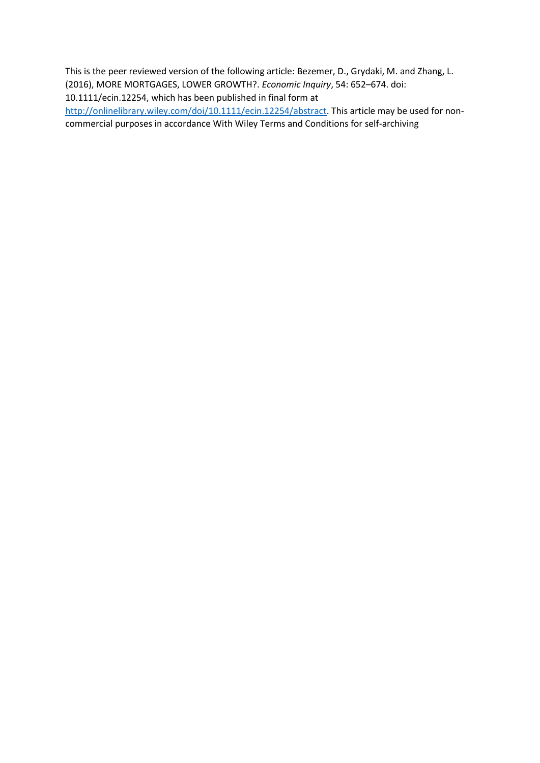This is the peer reviewed version of the following article: Bezemer, D., Grydaki, M. and Zhang, L. (2016), MORE MORTGAGES, LOWER GROWTH?. *Economic Inquiry*, 54: 652–674. doi: 10.1111/ecin.12254, which has been published in final form at

[http://onlinelibrary.wiley.com/doi/10.1111/ecin.12254/abstract.](http://onlinelibrary.wiley.com/doi/10.1111/ecin.12254/abstract) This article may be used for noncommercial purposes in accordance With Wiley Terms and Conditions for self-archiving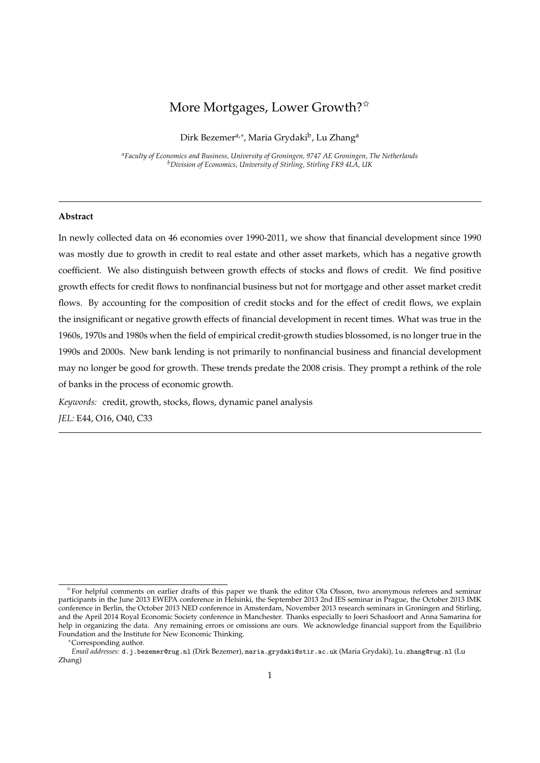# More Mortgages, Lower Growth?<sup>\*</sup>

Dirk Bezemer<sup>a,∗</sup>, Maria Grydaki<sup>b</sup>, Lu Zhang<sup>a</sup>

*<sup>a</sup>Faculty of Economics and Business, University of Groningen, 9747 AE Groningen, The Netherlands <sup>b</sup>Division of Economics, University of Stirling, Stirling FK9 4LA, UK*

# **Abstract**

In newly collected data on 46 economies over 1990-2011, we show that financial development since 1990 was mostly due to growth in credit to real estate and other asset markets, which has a negative growth coefficient. We also distinguish between growth effects of stocks and flows of credit. We find positive growth effects for credit flows to nonfinancial business but not for mortgage and other asset market credit flows. By accounting for the composition of credit stocks and for the effect of credit flows, we explain the insignificant or negative growth effects of financial development in recent times. What was true in the 1960s, 1970s and 1980s when the field of empirical credit-growth studies blossomed, is no longer true in the 1990s and 2000s. New bank lending is not primarily to nonfinancial business and financial development may no longer be good for growth. These trends predate the 2008 crisis. They prompt a rethink of the role of banks in the process of economic growth.

*Keywords:* credit, growth, stocks, flows, dynamic panel analysis *JEL:* E44, O16, O40, C33

<sup>✩</sup>For helpful comments on earlier drafts of this paper we thank the editor Ola Olsson, two anonymous referees and seminar participants in the June 2013 EWEPA conference in Helsinki, the September 2013 2nd IES seminar in Prague, the October 2013 IMK conference in Berlin, the October 2013 NED conference in Amsterdam, November 2013 research seminars in Groningen and Stirling, and the April 2014 Royal Economic Society conference in Manchester. Thanks especially to Joeri Schasfoort and Anna Samarina for help in organizing the data. Any remaining errors or omissions are ours. We acknowledge financial support from the Equilibrio Foundation and the Institute for New Economic Thinking.

<sup>∗</sup>Corresponding author.

*Email addresses:* d.j.bezemer@rug.nl (Dirk Bezemer), maria.grydaki@stir.ac.uk (Maria Grydaki), lu.zhang@rug.nl (Lu Zhang)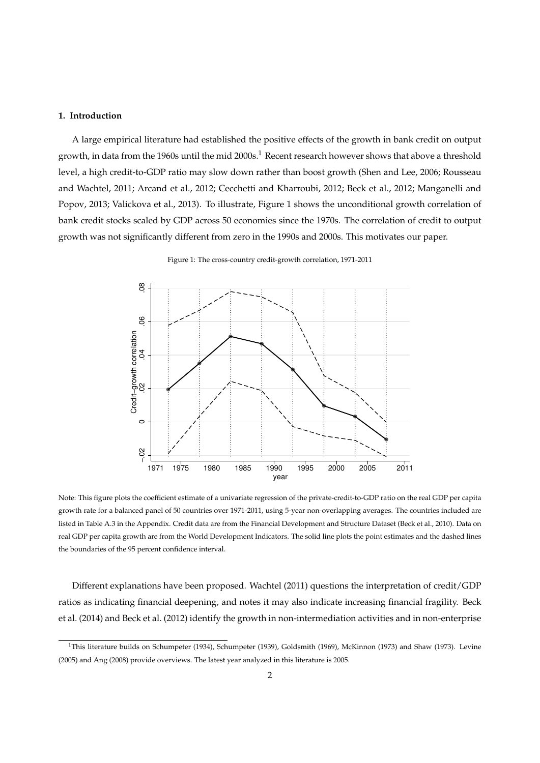## **1. Introduction**

A large empirical literature had established the positive effects of the growth in bank credit on output growth, in data from the 1960s until the mid 2000s.<sup>1</sup> Recent research however shows that above a threshold level, a high credit-to-GDP ratio may slow down rather than boost growth (Shen and Lee, 2006; Rousseau and Wachtel, 2011; Arcand et al., 2012; Cecchetti and Kharroubi, 2012; Beck et al., 2012; Manganelli and Popov, 2013; Valickova et al., 2013). To illustrate, Figure 1 shows the unconditional growth correlation of bank credit stocks scaled by GDP across 50 economies since the 1970s. The correlation of credit to output growth was not significantly different from zero in the 1990s and 2000s. This motivates our paper.



Figure 1: The cross-country credit-growth correlation, 1971-2011

Note: This figure plots the coefficient estimate of a univariate regression of the private-credit-to-GDP ratio on the real GDP per capita growth rate for a balanced panel of 50 countries over 1971-2011, using 5-year non-overlapping averages. The countries included are listed in Table A.3 in the Appendix. Credit data are from the Financial Development and Structure Dataset (Beck et al., 2010). Data on real GDP per capita growth are from the World Development Indicators. The solid line plots the point estimates and the dashed lines the boundaries of the 95 percent confidence interval.

Different explanations have been proposed. Wachtel (2011) questions the interpretation of credit/GDP ratios as indicating financial deepening, and notes it may also indicate increasing financial fragility. Beck et al. (2014) and Beck et al. (2012) identify the growth in non-intermediation activities and in non-enterprise

<sup>&</sup>lt;sup>1</sup>This literature builds on Schumpeter (1934), Schumpeter (1939), Goldsmith (1969), McKinnon (1973) and Shaw (1973). Levine (2005) and Ang (2008) provide overviews. The latest year analyzed in this literature is 2005.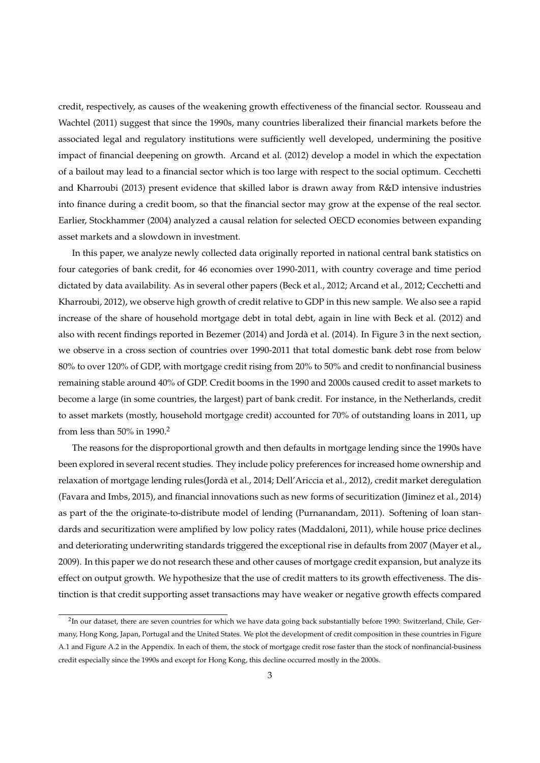credit, respectively, as causes of the weakening growth effectiveness of the financial sector. Rousseau and Wachtel (2011) suggest that since the 1990s, many countries liberalized their financial markets before the associated legal and regulatory institutions were sufficiently well developed, undermining the positive impact of financial deepening on growth. Arcand et al. (2012) develop a model in which the expectation of a bailout may lead to a financial sector which is too large with respect to the social optimum. Cecchetti and Kharroubi (2013) present evidence that skilled labor is drawn away from R&D intensive industries into finance during a credit boom, so that the financial sector may grow at the expense of the real sector. Earlier, Stockhammer (2004) analyzed a causal relation for selected OECD economies between expanding asset markets and a slowdown in investment.

In this paper, we analyze newly collected data originally reported in national central bank statistics on four categories of bank credit, for 46 economies over 1990-2011, with country coverage and time period dictated by data availability. As in several other papers (Beck et al., 2012; Arcand et al., 2012; Cecchetti and Kharroubi, 2012), we observe high growth of credit relative to GDP in this new sample. We also see a rapid increase of the share of household mortgage debt in total debt, again in line with Beck et al. (2012) and also with recent findings reported in Bezemer (2014) and Jordà et al. (2014). In Figure 3 in the next section, we observe in a cross section of countries over 1990-2011 that total domestic bank debt rose from below 80% to over 120% of GDP, with mortgage credit rising from 20% to 50% and credit to nonfinancial business remaining stable around 40% of GDP. Credit booms in the 1990 and 2000s caused credit to asset markets to become a large (in some countries, the largest) part of bank credit. For instance, in the Netherlands, credit to asset markets (mostly, household mortgage credit) accounted for 70% of outstanding loans in 2011, up from less than 50% in 1990.<sup>2</sup>

The reasons for the disproportional growth and then defaults in mortgage lending since the 1990s have been explored in several recent studies. They include policy preferences for increased home ownership and relaxation of mortgage lending rules(Jordà et al., 2014; Dell'Ariccia et al., 2012), credit market deregulation (Favara and Imbs, 2015), and financial innovations such as new forms of securitization (Jiminez et al., 2014) as part of the the originate-to-distribute model of lending (Purnanandam, 2011). Softening of loan standards and securitization were amplified by low policy rates (Maddaloni, 2011), while house price declines and deteriorating underwriting standards triggered the exceptional rise in defaults from 2007 (Mayer et al., 2009). In this paper we do not research these and other causes of mortgage credit expansion, but analyze its effect on output growth. We hypothesize that the use of credit matters to its growth effectiveness. The distinction is that credit supporting asset transactions may have weaker or negative growth effects compared

 $^2$ In our dataset, there are seven countries for which we have data going back substantially before 1990: Switzerland, Chile, Germany, Hong Kong, Japan, Portugal and the United States. We plot the development of credit composition in these countries in Figure A.1 and Figure A.2 in the Appendix. In each of them, the stock of mortgage credit rose faster than the stock of nonfinancial-business credit especially since the 1990s and except for Hong Kong, this decline occurred mostly in the 2000s.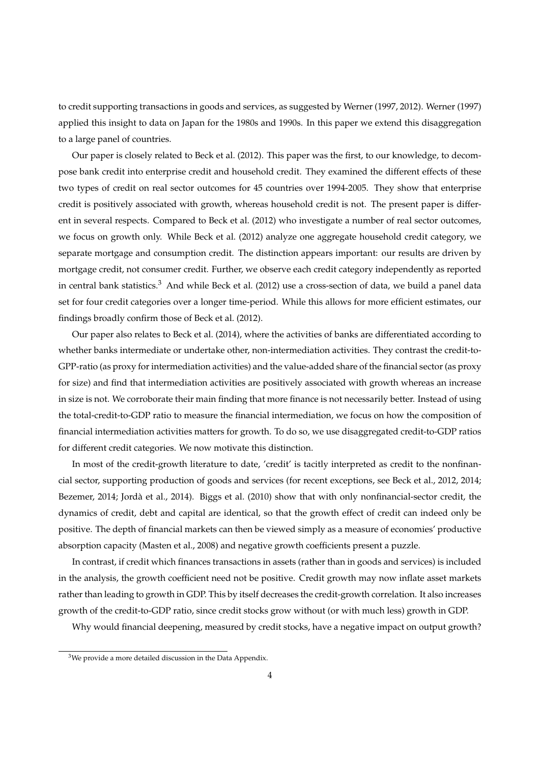to credit supporting transactions in goods and services, as suggested by Werner (1997, 2012). Werner (1997) applied this insight to data on Japan for the 1980s and 1990s. In this paper we extend this disaggregation to a large panel of countries.

Our paper is closely related to Beck et al. (2012). This paper was the first, to our knowledge, to decompose bank credit into enterprise credit and household credit. They examined the different effects of these two types of credit on real sector outcomes for 45 countries over 1994-2005. They show that enterprise credit is positively associated with growth, whereas household credit is not. The present paper is different in several respects. Compared to Beck et al. (2012) who investigate a number of real sector outcomes, we focus on growth only. While Beck et al. (2012) analyze one aggregate household credit category, we separate mortgage and consumption credit. The distinction appears important: our results are driven by mortgage credit, not consumer credit. Further, we observe each credit category independently as reported in central bank statistics.<sup>3</sup> And while Beck et al. (2012) use a cross-section of data, we build a panel data set for four credit categories over a longer time-period. While this allows for more efficient estimates, our findings broadly confirm those of Beck et al. (2012).

Our paper also relates to Beck et al. (2014), where the activities of banks are differentiated according to whether banks intermediate or undertake other, non-intermediation activities. They contrast the credit-to-GPP-ratio (as proxy for intermediation activities) and the value-added share of the financial sector (as proxy for size) and find that intermediation activities are positively associated with growth whereas an increase in size is not. We corroborate their main finding that more finance is not necessarily better. Instead of using the total-credit-to-GDP ratio to measure the financial intermediation, we focus on how the composition of financial intermediation activities matters for growth. To do so, we use disaggregated credit-to-GDP ratios for different credit categories. We now motivate this distinction.

In most of the credit-growth literature to date, 'credit' is tacitly interpreted as credit to the nonfinancial sector, supporting production of goods and services (for recent exceptions, see Beck et al., 2012, 2014; Bezemer, 2014; Jordà et al., 2014). Biggs et al. (2010) show that with only nonfinancial-sector credit, the dynamics of credit, debt and capital are identical, so that the growth effect of credit can indeed only be positive. The depth of financial markets can then be viewed simply as a measure of economies' productive absorption capacity (Masten et al., 2008) and negative growth coefficients present a puzzle.

In contrast, if credit which finances transactions in assets (rather than in goods and services) is included in the analysis, the growth coefficient need not be positive. Credit growth may now inflate asset markets rather than leading to growth in GDP. This by itself decreases the credit-growth correlation. It also increases growth of the credit-to-GDP ratio, since credit stocks grow without (or with much less) growth in GDP.

Why would financial deepening, measured by credit stocks, have a negative impact on output growth?

 $3$ We provide a more detailed discussion in the Data Appendix.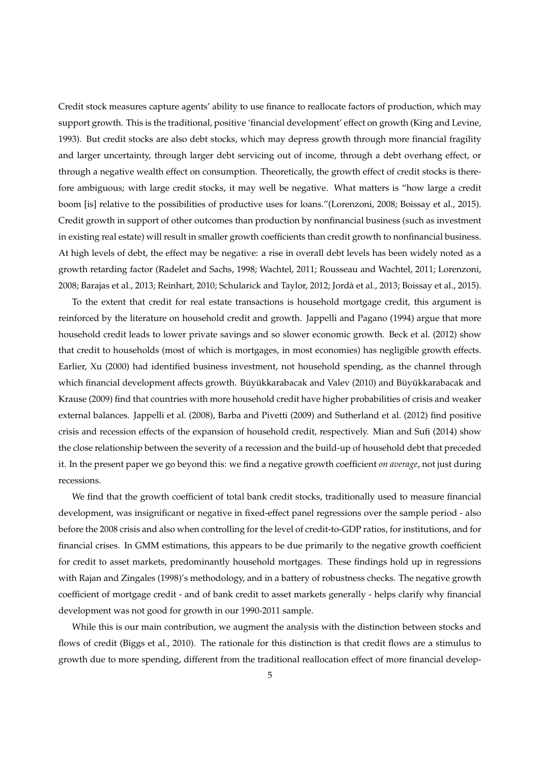Credit stock measures capture agents' ability to use finance to reallocate factors of production, which may support growth. This is the traditional, positive 'financial development' effect on growth (King and Levine, 1993). But credit stocks are also debt stocks, which may depress growth through more financial fragility and larger uncertainty, through larger debt servicing out of income, through a debt overhang effect, or through a negative wealth effect on consumption. Theoretically, the growth effect of credit stocks is therefore ambiguous; with large credit stocks, it may well be negative. What matters is "how large a credit boom [is] relative to the possibilities of productive uses for loans."(Lorenzoni, 2008; Boissay et al., 2015). Credit growth in support of other outcomes than production by nonfinancial business (such as investment in existing real estate) will result in smaller growth coefficients than credit growth to nonfinancial business. At high levels of debt, the effect may be negative: a rise in overall debt levels has been widely noted as a growth retarding factor (Radelet and Sachs, 1998; Wachtel, 2011; Rousseau and Wachtel, 2011; Lorenzoni, 2008; Barajas et al., 2013; Reinhart, 2010; Schularick and Taylor, 2012; Jordà et al., 2013; Boissay et al., 2015).

To the extent that credit for real estate transactions is household mortgage credit, this argument is reinforced by the literature on household credit and growth. Jappelli and Pagano (1994) argue that more household credit leads to lower private savings and so slower economic growth. Beck et al. (2012) show that credit to households (most of which is mortgages, in most economies) has negligible growth effects. Earlier, Xu (2000) had identified business investment, not household spending, as the channel through which financial development affects growth. Büyükkarabacak and Valev (2010) and Büyükkarabacak and Krause (2009) find that countries with more household credit have higher probabilities of crisis and weaker external balances. Jappelli et al. (2008), Barba and Pivetti (2009) and Sutherland et al. (2012) find positive crisis and recession effects of the expansion of household credit, respectively. Mian and Sufi (2014) show the close relationship between the severity of a recession and the build-up of household debt that preceded it. In the present paper we go beyond this: we find a negative growth coefficient *on average*, not just during recessions.

We find that the growth coefficient of total bank credit stocks, traditionally used to measure financial development, was insignificant or negative in fixed-effect panel regressions over the sample period - also before the 2008 crisis and also when controlling for the level of credit-to-GDP ratios, for institutions, and for financial crises. In GMM estimations, this appears to be due primarily to the negative growth coefficient for credit to asset markets, predominantly household mortgages. These findings hold up in regressions with Rajan and Zingales (1998)'s methodology, and in a battery of robustness checks. The negative growth coefficient of mortgage credit - and of bank credit to asset markets generally - helps clarify why financial development was not good for growth in our 1990-2011 sample.

While this is our main contribution, we augment the analysis with the distinction between stocks and flows of credit (Biggs et al., 2010). The rationale for this distinction is that credit flows are a stimulus to growth due to more spending, different from the traditional reallocation effect of more financial develop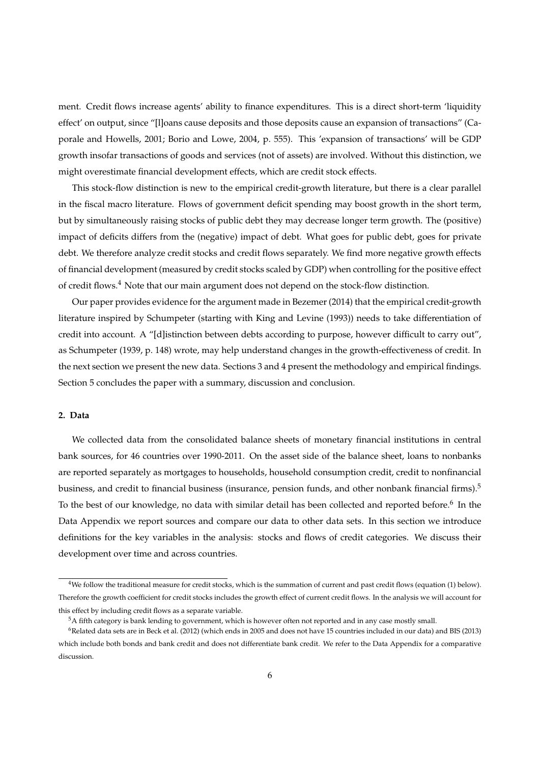ment. Credit flows increase agents' ability to finance expenditures. This is a direct short-term 'liquidity effect' on output, since "[l]oans cause deposits and those deposits cause an expansion of transactions" (Caporale and Howells, 2001; Borio and Lowe, 2004, p. 555). This 'expansion of transactions' will be GDP growth insofar transactions of goods and services (not of assets) are involved. Without this distinction, we might overestimate financial development effects, which are credit stock effects.

This stock-flow distinction is new to the empirical credit-growth literature, but there is a clear parallel in the fiscal macro literature. Flows of government deficit spending may boost growth in the short term, but by simultaneously raising stocks of public debt they may decrease longer term growth. The (positive) impact of deficits differs from the (negative) impact of debt. What goes for public debt, goes for private debt. We therefore analyze credit stocks and credit flows separately. We find more negative growth effects of financial development (measured by credit stocks scaled by GDP) when controlling for the positive effect of credit flows.<sup>4</sup> Note that our main argument does not depend on the stock-flow distinction.

Our paper provides evidence for the argument made in Bezemer (2014) that the empirical credit-growth literature inspired by Schumpeter (starting with King and Levine (1993)) needs to take differentiation of credit into account. A "[d]istinction between debts according to purpose, however difficult to carry out", as Schumpeter (1939, p. 148) wrote, may help understand changes in the growth-effectiveness of credit. In the next section we present the new data. Sections 3 and 4 present the methodology and empirical findings. Section 5 concludes the paper with a summary, discussion and conclusion.

# **2. Data**

We collected data from the consolidated balance sheets of monetary financial institutions in central bank sources, for 46 countries over 1990-2011. On the asset side of the balance sheet, loans to nonbanks are reported separately as mortgages to households, household consumption credit, credit to nonfinancial business, and credit to financial business (insurance, pension funds, and other nonbank financial firms).<sup>5</sup> To the best of our knowledge, no data with similar detail has been collected and reported before.<sup>6</sup> In the Data Appendix we report sources and compare our data to other data sets. In this section we introduce definitions for the key variables in the analysis: stocks and flows of credit categories. We discuss their development over time and across countries.

<sup>4</sup>We follow the traditional measure for credit stocks, which is the summation of current and past credit flows (equation (1) below). Therefore the growth coefficient for credit stocks includes the growth effect of current credit flows. In the analysis we will account for this effect by including credit flows as a separate variable.

<sup>5</sup>A fifth category is bank lending to government, which is however often not reported and in any case mostly small.

 $6R$ elated data sets are in Beck et al. (2012) (which ends in 2005 and does not have 15 countries included in our data) and BIS (2013) which include both bonds and bank credit and does not differentiate bank credit. We refer to the Data Appendix for a comparative discussion.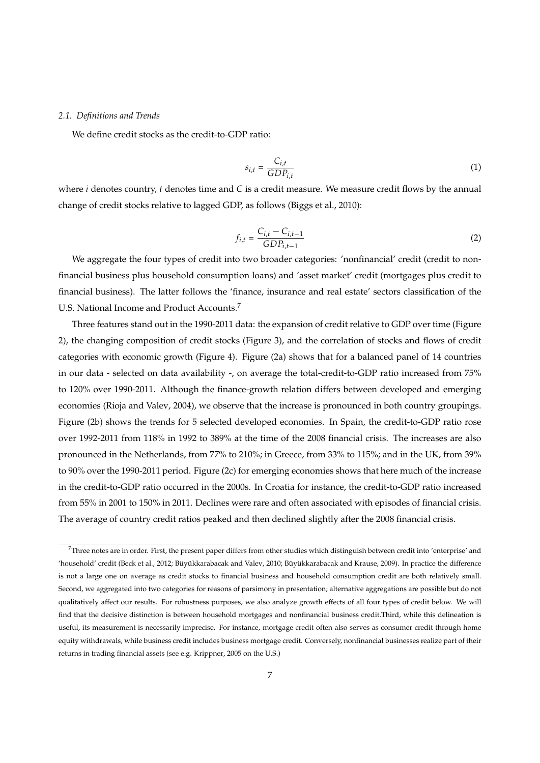### *2.1. Definitions and Trends*

We define credit stocks as the credit-to-GDP ratio:

$$
s_{i,t} = \frac{C_{i,t}}{GDP_{i,t}}
$$
 (1)

where *i* denotes country, *t* denotes time and *C* is a credit measure. We measure credit flows by the annual change of credit stocks relative to lagged GDP, as follows (Biggs et al., 2010):

$$
f_{i,t} = \frac{C_{i,t} - C_{i,t-1}}{GDP_{i,t-1}}
$$
 (2)

We aggregate the four types of credit into two broader categories: 'nonfinancial' credit (credit to nonfinancial business plus household consumption loans) and 'asset market' credit (mortgages plus credit to financial business). The latter follows the 'finance, insurance and real estate' sectors classification of the U.S. National Income and Product Accounts.<sup>7</sup>

Three features stand out in the 1990-2011 data: the expansion of credit relative to GDP over time (Figure 2), the changing composition of credit stocks (Figure 3), and the correlation of stocks and flows of credit categories with economic growth (Figure 4). Figure (2a) shows that for a balanced panel of 14 countries in our data - selected on data availability -, on average the total-credit-to-GDP ratio increased from 75% to 120% over 1990-2011. Although the finance-growth relation differs between developed and emerging economies (Rioja and Valev, 2004), we observe that the increase is pronounced in both country groupings. Figure (2b) shows the trends for 5 selected developed economies. In Spain, the credit-to-GDP ratio rose over 1992-2011 from 118% in 1992 to 389% at the time of the 2008 financial crisis. The increases are also pronounced in the Netherlands, from 77% to 210%; in Greece, from 33% to 115%; and in the UK, from 39% to 90% over the 1990-2011 period. Figure (2c) for emerging economies shows that here much of the increase in the credit-to-GDP ratio occurred in the 2000s. In Croatia for instance, the credit-to-GDP ratio increased from 55% in 2001 to 150% in 2011. Declines were rare and often associated with episodes of financial crisis. The average of country credit ratios peaked and then declined slightly after the 2008 financial crisis.

 $7$ Three notes are in order. First, the present paper differs from other studies which distinguish between credit into 'enterprise' and 'household' credit (Beck et al., 2012; Büyükkarabacak and Valev, 2010; Büyükkarabacak and Krause, 2009). In practice the difference is not a large one on average as credit stocks to financial business and household consumption credit are both relatively small. Second, we aggregated into two categories for reasons of parsimony in presentation; alternative aggregations are possible but do not qualitatively affect our results. For robustness purposes, we also analyze growth effects of all four types of credit below. We will find that the decisive distinction is between household mortgages and nonfinancial business credit.Third, while this delineation is useful, its measurement is necessarily imprecise. For instance, mortgage credit often also serves as consumer credit through home equity withdrawals, while business credit includes business mortgage credit. Conversely, nonfinancial businesses realize part of their returns in trading financial assets (see e.g. Krippner, 2005 on the U.S.)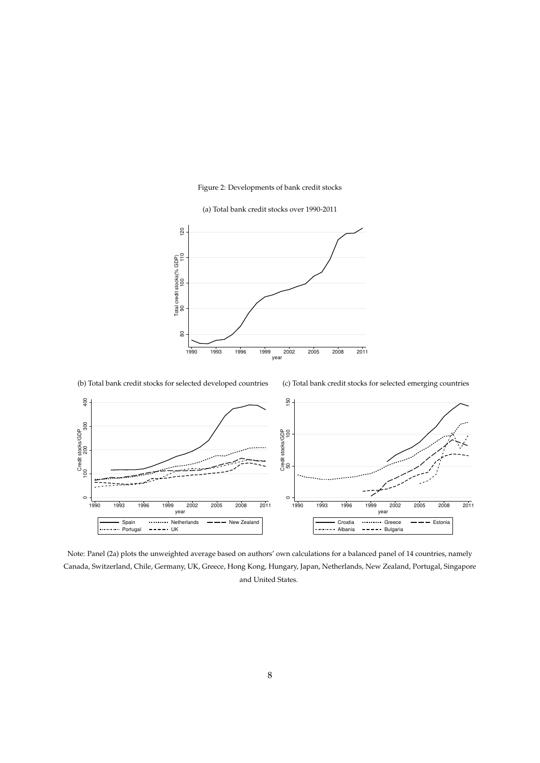## Figure 2: Developments of bank credit stocks

(a) Total bank credit stocks over 1990-2011



(b) Total bank credit stocks for selected developed countries (c) Total bank credit stocks for selected emerging countries



Note: Panel (2a) plots the unweighted average based on authors' own calculations for a balanced panel of 14 countries, namely Canada, Switzerland, Chile, Germany, UK, Greece, Hong Kong, Hungary, Japan, Netherlands, New Zealand, Portugal, Singapore and United States.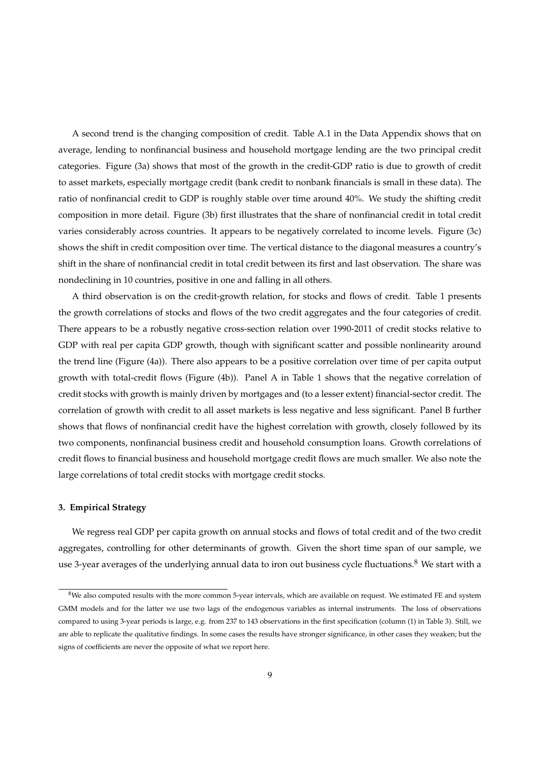A second trend is the changing composition of credit. Table A.1 in the Data Appendix shows that on average, lending to nonfinancial business and household mortgage lending are the two principal credit categories. Figure (3a) shows that most of the growth in the credit-GDP ratio is due to growth of credit to asset markets, especially mortgage credit (bank credit to nonbank financials is small in these data). The ratio of nonfinancial credit to GDP is roughly stable over time around 40%. We study the shifting credit composition in more detail. Figure (3b) first illustrates that the share of nonfinancial credit in total credit varies considerably across countries. It appears to be negatively correlated to income levels. Figure (3c) shows the shift in credit composition over time. The vertical distance to the diagonal measures a country's shift in the share of nonfinancial credit in total credit between its first and last observation. The share was nondeclining in 10 countries, positive in one and falling in all others.

A third observation is on the credit-growth relation, for stocks and flows of credit. Table 1 presents the growth correlations of stocks and flows of the two credit aggregates and the four categories of credit. There appears to be a robustly negative cross-section relation over 1990-2011 of credit stocks relative to GDP with real per capita GDP growth, though with significant scatter and possible nonlinearity around the trend line (Figure (4a)). There also appears to be a positive correlation over time of per capita output growth with total-credit flows (Figure (4b)). Panel A in Table 1 shows that the negative correlation of credit stocks with growth is mainly driven by mortgages and (to a lesser extent) financial-sector credit. The correlation of growth with credit to all asset markets is less negative and less significant. Panel B further shows that flows of nonfinancial credit have the highest correlation with growth, closely followed by its two components, nonfinancial business credit and household consumption loans. Growth correlations of credit flows to financial business and household mortgage credit flows are much smaller. We also note the large correlations of total credit stocks with mortgage credit stocks.

#### **3. Empirical Strategy**

We regress real GDP per capita growth on annual stocks and flows of total credit and of the two credit aggregates, controlling for other determinants of growth. Given the short time span of our sample, we use 3-year averages of the underlying annual data to iron out business cycle fluctuations.<sup>8</sup> We start with a

<sup>8</sup>We also computed results with the more common 5-year intervals, which are available on request. We estimated FE and system GMM models and for the latter we use two lags of the endogenous variables as internal instruments. The loss of observations compared to using 3-year periods is large, e.g. from 237 to 143 observations in the first specification (column (1) in Table 3). Still, we are able to replicate the qualitative findings. In some cases the results have stronger significance, in other cases they weaken; but the signs of coefficients are never the opposite of what we report here.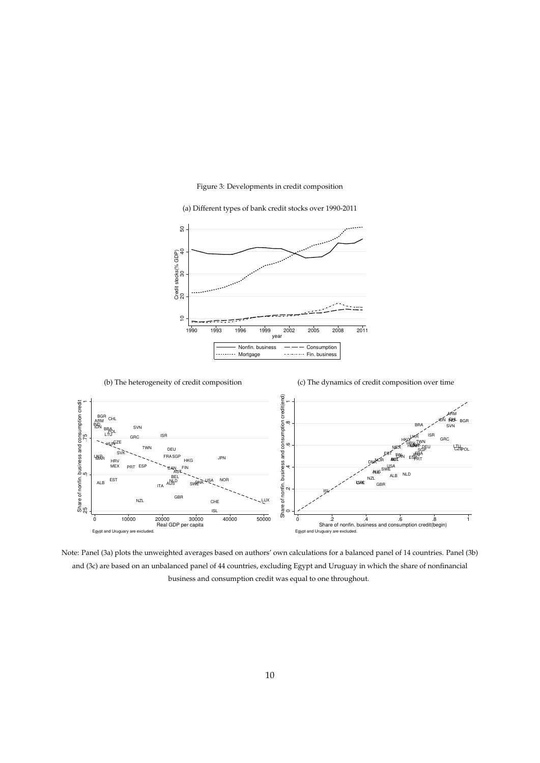## Figure 3: Developments in credit composition

(a) Different types of bank credit stocks over 1990-2011





Note: Panel (3a) plots the unweighted averages based on authors' own calculations for a balanced panel of 14 countries. Panel (3b) and (3c) are based on an unbalanced panel of 44 countries, excluding Egypt and Uruguay in which the share of nonfinancial business and consumption credit was equal to one throughout.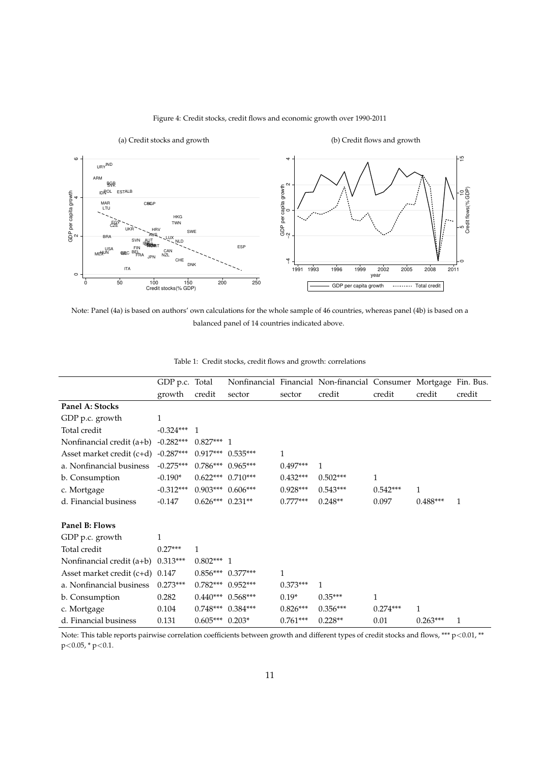

## Figure 4: Credit stocks, credit flows and economic growth over 1990-2011

Note: Panel (4a) is based on authors' own calculations for the whole sample of 46 countries, whereas panel (4b) is based on a balanced panel of 14 countries indicated above.

|                                   | GDP p.c. Total |                       |                       |              | Nonfinancial Financial Non-financial Consumer Mortgage Fin. Bus. |              |            |              |
|-----------------------------------|----------------|-----------------------|-----------------------|--------------|------------------------------------------------------------------|--------------|------------|--------------|
|                                   | growth         | credit                | sector                | sector       | credit                                                           | credit       | credit     | credit       |
| Panel A: Stocks                   |                |                       |                       |              |                                                                  |              |            |              |
| GDP p.c. growth                   | 1              |                       |                       |              |                                                                  |              |            |              |
| Total credit                      | $-0.324***$ 1  |                       |                       |              |                                                                  |              |            |              |
| Nonfinancial credit (a+b)         | $-0.282***$    | $0.827***$ 1          |                       |              |                                                                  |              |            |              |
| Asset market credit (c+d)         | $-0.287***$    |                       | $0.917***$ $0.535***$ | $\mathbf{1}$ |                                                                  |              |            |              |
| a. Nonfinancial business          | $-0.275***$    |                       | $0.786***$ 0.965***   | $0.497***$   | 1                                                                |              |            |              |
| b. Consumption                    | $-0.190*$      | $0.622***$ $0.710***$ |                       | $0.432***$   | $0.502***$                                                       | $\mathbf{1}$ |            |              |
| c. Mortgage                       | $-0.312***$    | $0.903***$ $0.606***$ |                       | $0.928***$   | $0.543***$                                                       | $0.542***$   | 1          |              |
| d. Financial business             | $-0.147$       | $0.626***$ $0.231**$  |                       | $0.777***$   | $0.248**$                                                        | 0.097        | $0.488***$ | $\mathbf{1}$ |
| Panel B: Flows                    |                |                       |                       |              |                                                                  |              |            |              |
| GDP p.c. growth                   | 1              |                       |                       |              |                                                                  |              |            |              |
| Total credit                      | $0.27***$      | $\mathbf{1}$          |                       |              |                                                                  |              |            |              |
| Nonfinancial credit (a+b)         | $0.313***$     | $0.802***1$           |                       |              |                                                                  |              |            |              |
| Asset market credit $(c+d)$ 0.147 |                |                       | $0.856***$ $0.377***$ | $\mathbf{1}$ |                                                                  |              |            |              |
| a. Nonfinancial business          | $0.273***$     |                       | $0.782***$ 0.952***   | $0.373***$   | $\mathbf{1}$                                                     |              |            |              |
| b. Consumption                    | 0.282          |                       | $0.440***$ 0.568***   | $0.19*$      | $0.35***$                                                        | 1            |            |              |
| c. Mortgage                       | 0.104          |                       | $0.748***$ $0.384***$ | $0.826***$   | $0.356***$                                                       | $0.274***$   | 1          |              |
| d. Financial business             | 0.131          | $0.605***$ 0.203*     |                       | $0.761***$   | $0.228**$                                                        | 0.01         | $0.263***$ | 1            |

|  |  |  |  | Table 1: Credit stocks, credit flows and growth: correlations |
|--|--|--|--|---------------------------------------------------------------|
|--|--|--|--|---------------------------------------------------------------|

Note: This table reports pairwise correlation coefficients between growth and different types of credit stocks and flows, \*\*\*  $p<0.01$ , \*\*  $p<0.05$ , \*  $p<0.1$ .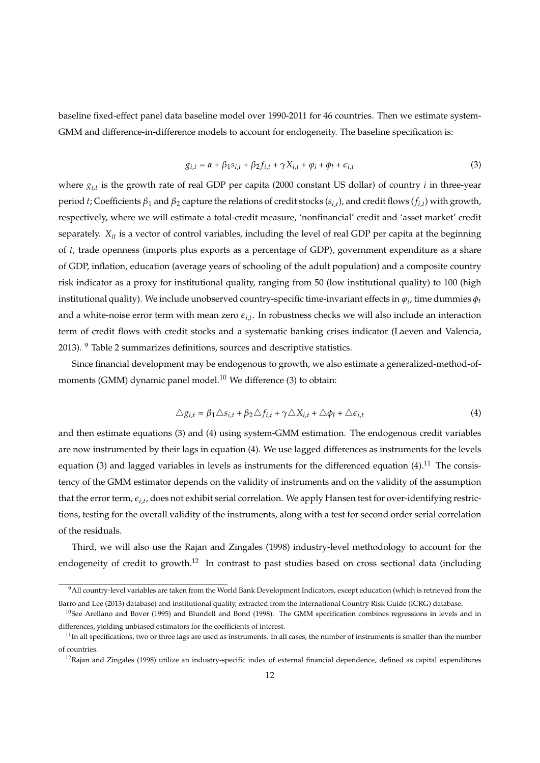baseline fixed-effect panel data baseline model over 1990-2011 for 46 countries. Then we estimate system-GMM and difference-in-difference models to account for endogeneity. The baseline specification is:

$$
g_{i,t} = \alpha + \beta_1 s_{i,t} + \beta_2 f_{i,t} + \gamma X_{i,t} + \varphi_i + \varphi_t + \epsilon_{i,t}
$$
\n<sup>(3)</sup>

where *gi*,*<sup>t</sup>* is the growth rate of real GDP per capita (2000 constant US dollar) of country *i* in three-year period *t*; Coefficients *β*<sup>1</sup> and *β*<sup>2</sup> capture the relations of credit stocks (*si*,*<sup>t</sup>* ), and credit flows (*fi*,*<sup>t</sup>* ) with growth, respectively, where we will estimate a total-credit measure, 'nonfinancial' credit and 'asset market' credit separately. *Xit* is a vector of control variables, including the level of real GDP per capita at the beginning of *t*, trade openness (imports plus exports as a percentage of GDP), government expenditure as a share of GDP, inflation, education (average years of schooling of the adult population) and a composite country risk indicator as a proxy for institutional quality, ranging from 50 (low institutional quality) to 100 (high institutional quality). We include unobserved country-specific time-invariant effects in  $\varphi_i$ , time dummies  $\phi_i$ and a white-noise error term with mean zero  $\epsilon_{i,t}$ . In robustness checks we will also include an interaction term of credit flows with credit stocks and a systematic banking crises indicator (Laeven and Valencia, 2013). <sup>9</sup> Table 2 summarizes definitions, sources and descriptive statistics.

Since financial development may be endogenous to growth, we also estimate a generalized-method-ofmoments (GMM) dynamic panel model. $^{10}$  We difference (3) to obtain:

$$
\triangle g_{i,t} = \beta_1 \triangle s_{i,t} + \beta_2 \triangle f_{i,t} + \gamma \triangle X_{i,t} + \triangle \phi_t + \triangle \epsilon_{i,t}
$$
\n
$$
\tag{4}
$$

and then estimate equations (3) and (4) using system-GMM estimation. The endogenous credit variables are now instrumented by their lags in equation (4). We use lagged differences as instruments for the levels equation (3) and lagged variables in levels as instruments for the differenced equation (4).<sup>11</sup> The consistency of the GMM estimator depends on the validity of instruments and on the validity of the assumption that the error term, *ei*,*<sup>t</sup>* , does not exhibit serial correlation. We apply Hansen test for over-identifying restrictions, testing for the overall validity of the instruments, along with a test for second order serial correlation of the residuals.

Third, we will also use the Rajan and Zingales (1998) industry-level methodology to account for the endogeneity of credit to growth.<sup>12</sup> In contrast to past studies based on cross sectional data (including

<sup>&</sup>lt;sup>9</sup>All country-level variables are taken from the World Bank Development Indicators, except education (which is retrieved from the Barro and Lee (2013) database) and institutional quality, extracted from the International Country Risk Guide (ICRG) database.

 $10$ See Arellano and Bover (1995) and Blundell and Bond (1998). The GMM specification combines regressions in levels and in differences, yielding unbiased estimators for the coefficients of interest.

 $11$ In all specifications, two or three lags are used as instruments. In all cases, the number of instruments is smaller than the number of countries.

<sup>&</sup>lt;sup>12</sup>Rajan and Zingales (1998) utilize an industry-specific index of external financial dependence, defined as capital expenditures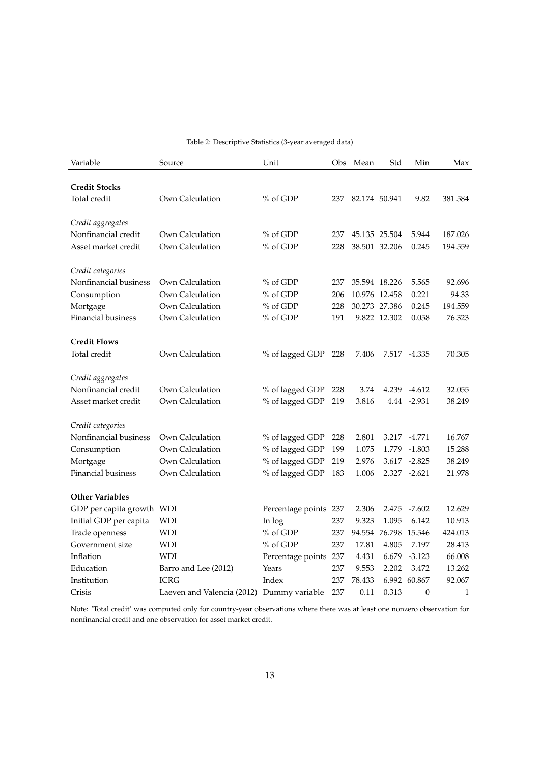| Variable                  | Source                     | Unit                  | Obs | Mean          | Std                  | Min              | Max     |
|---------------------------|----------------------------|-----------------------|-----|---------------|----------------------|------------------|---------|
|                           |                            |                       |     |               |                      |                  |         |
| <b>Credit Stocks</b>      |                            |                       |     |               |                      |                  |         |
| Total credit              | Own Calculation            | % of GDP              | 237 | 82.174 50.941 |                      | 9.82             | 381.584 |
| Credit aggregates         |                            |                       |     |               |                      |                  |         |
| Nonfinancial credit       | Own Calculation            | % of GDP              | 237 |               | 45.135 25.504        | 5.944            | 187.026 |
| Asset market credit       | Own Calculation            | % of GDP              | 228 | 38.501 32.206 |                      | 0.245            | 194.559 |
| Credit categories         |                            |                       |     |               |                      |                  |         |
| Nonfinancial business     | Own Calculation            | % of GDP              | 237 |               | 35.594 18.226        | 5.565            | 92.696  |
| Consumption               | Own Calculation            | % of GDP              | 206 | 10.976 12.458 |                      | 0.221            | 94.33   |
| Mortgage                  | Own Calculation            | % of GDP              | 228 | 30.273 27.386 |                      | 0.245            | 194.559 |
| <b>Financial business</b> | Own Calculation            | % of GDP              | 191 |               | 9.822 12.302         | 0.058            | 76.323  |
|                           |                            |                       |     |               |                      |                  |         |
| <b>Credit Flows</b>       |                            |                       |     |               |                      |                  |         |
| Total credit              | Own Calculation            | % of lagged GDP       | 228 | 7.406         |                      | 7.517 -4.335     | 70.305  |
|                           |                            |                       |     |               |                      |                  |         |
| Credit aggregates         |                            |                       |     |               |                      |                  |         |
| Nonfinancial credit       | Own Calculation            | % of lagged GDP       | 228 | 3.74          |                      | 4.239 -4.612     | 32.055  |
| Asset market credit       | Own Calculation            | % of lagged GDP       | 219 | 3.816         |                      | 4.44 -2.931      | 38.249  |
| Credit categories         |                            |                       |     |               |                      |                  |         |
| Nonfinancial business     | Own Calculation            | % of lagged GDP       | 228 | 2.801         |                      | 3.217 -4.771     | 16.767  |
| Consumption               | Own Calculation            | % of lagged GDP       | 199 | 1.075         |                      | 1.779 -1.803     | 15.288  |
| Mortgage                  | Own Calculation            | % of lagged GDP       | 219 | 2.976         |                      | 3.617 -2.825     | 38.249  |
| Financial business        | Own Calculation            | % of lagged GDP       | 183 | 1.006         |                      | 2.327 -2.621     | 21.978  |
| <b>Other Variables</b>    |                            |                       |     |               |                      |                  |         |
| GDP per capita growth WDI |                            | Percentage points 237 |     | 2.306         | 2.475                | -7.602           | 12.629  |
| Initial GDP per capita    | <b>WDI</b>                 | In log                | 237 | 9.323         | 1.095                | 6.142            | 10.913  |
| Trade openness            | WDI                        | % of GDP              | 237 |               | 94.554 76.798 15.546 |                  | 424.013 |
| Government size           | <b>WDI</b>                 | % of GDP              | 237 | 17.81         | 4.805                | 7.197            | 28.413  |
| Inflation                 | <b>WDI</b>                 | Percentage points     | 237 | 4.431         | 6.679                | $-3.123$         | 66.008  |
| Education                 | Barro and Lee (2012)       | Years                 | 237 | 9.553         | 2.202                | 3.472            | 13.262  |
| Institution               | <b>ICRG</b>                | Index                 | 237 | 78.433        |                      | 6.992 60.867     | 92.067  |
| Crisis                    | Laeven and Valencia (2012) | Dummy variable        | 237 | 0.11          | 0.313                | $\boldsymbol{0}$ | 1       |

Table 2: Descriptive Statistics (3-year averaged data)

Note: 'Total credit' was computed only for country-year observations where there was at least one nonzero observation for nonfinancial credit and one observation for asset market credit.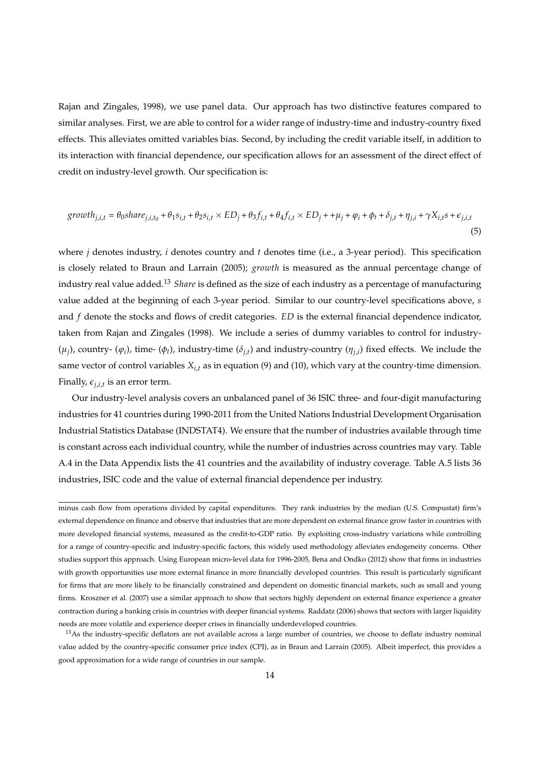Rajan and Zingales, 1998), we use panel data. Our approach has two distinctive features compared to similar analyses. First, we are able to control for a wider range of industry-time and industry-country fixed effects. This alleviates omitted variables bias. Second, by including the credit variable itself, in addition to its interaction with financial dependence, our specification allows for an assessment of the direct effect of credit on industry-level growth. Our specification is:

$$
growth_{j,i,t} = \theta_0 share_{j,i,t_0} + \theta_1 s_{i,t} + \theta_2 s_{i,t} \times ED_j + \theta_3 f_{i,t} + \theta_4 f_{i,t} \times ED_j + + \mu_j + \varphi_i + \phi_t + \delta_{j,t} + \eta_{j,i} + \gamma X_{i,t} s + \epsilon_{j,i,t}
$$
\n
$$
\tag{5}
$$

where *j* denotes industry, *i* denotes country and *t* denotes time (i.e., a 3-year period). This specification is closely related to Braun and Larrain (2005); *growth* is measured as the annual percentage change of industry real value added.<sup>13</sup> *Share* is defined as the size of each industry as a percentage of manufacturing value added at the beginning of each 3-year period. Similar to our country-level specifications above, *s* and *f* denote the stocks and flows of credit categories. *ED* is the external financial dependence indicator, taken from Rajan and Zingales (1998). We include a series of dummy variables to control for industry-  $(\mu_j)$ , country-  $(\varphi_i)$ , time-  $(\varphi_t)$ , industry-time  $(\delta_{j,t})$  and industry-country  $(\eta_{j,t})$  fixed effects. We include the same vector of control variables  $X_{i,t}$  as in equation (9) and (10), which vary at the country-time dimension. Finally,  $\epsilon_{j,i,t}$  is an error term.

Our industry-level analysis covers an unbalanced panel of 36 ISIC three- and four-digit manufacturing industries for 41 countries during 1990-2011 from the United Nations Industrial Development Organisation Industrial Statistics Database (INDSTAT4). We ensure that the number of industries available through time is constant across each individual country, while the number of industries across countries may vary. Table A.4 in the Data Appendix lists the 41 countries and the availability of industry coverage. Table A.5 lists 36 industries, ISIC code and the value of external financial dependence per industry.

minus cash flow from operations divided by capital expenditures. They rank industries by the median (U.S. Compustat) firm's external dependence on finance and observe that industries that are more dependent on external finance grow faster in countries with more developed financial systems, measured as the credit-to-GDP ratio. By exploiting cross-industry variations while controlling for a range of country-specific and industry-specific factors, this widely used methodology alleviates endogeneity concerns. Other studies support this approach. Using European micro-level data for 1996-2005, Bena and Ondko (2012) show that firms in industries with growth opportunities use more external finance in more financially developed countries. This result is particularly significant for firms that are more likely to be financially constrained and dependent on domestic financial markets, such as small and young firms. Kroszner et al. (2007) use a similar approach to show that sectors highly dependent on external finance experience a greater contraction during a banking crisis in countries with deeper financial systems. Raddatz (2006) shows that sectors with larger liquidity needs are more volatile and experience deeper crises in financially underdeveloped countries.

<sup>&</sup>lt;sup>13</sup>As the industry-specific deflators are not available across a large number of countries, we choose to deflate industry nominal value added by the country-specific consumer price index (CPI), as in Braun and Larrain (2005). Albeit imperfect, this provides a good approximation for a wide range of countries in our sample.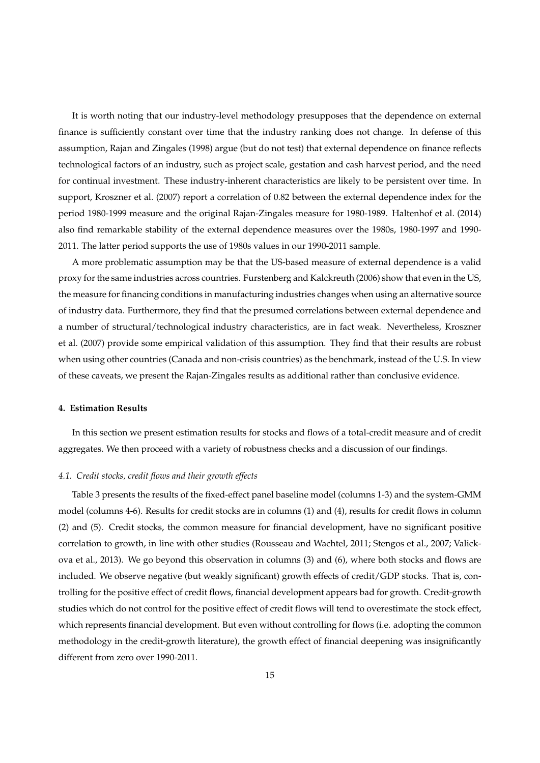It is worth noting that our industry-level methodology presupposes that the dependence on external finance is sufficiently constant over time that the industry ranking does not change. In defense of this assumption, Rajan and Zingales (1998) argue (but do not test) that external dependence on finance reflects technological factors of an industry, such as project scale, gestation and cash harvest period, and the need for continual investment. These industry-inherent characteristics are likely to be persistent over time. In support, Kroszner et al. (2007) report a correlation of 0.82 between the external dependence index for the period 1980-1999 measure and the original Rajan-Zingales measure for 1980-1989. Haltenhof et al. (2014) also find remarkable stability of the external dependence measures over the 1980s, 1980-1997 and 1990- 2011. The latter period supports the use of 1980s values in our 1990-2011 sample.

A more problematic assumption may be that the US-based measure of external dependence is a valid proxy for the same industries across countries. Furstenberg and Kalckreuth (2006) show that even in the US, the measure for financing conditions in manufacturing industries changes when using an alternative source of industry data. Furthermore, they find that the presumed correlations between external dependence and a number of structural/technological industry characteristics, are in fact weak. Nevertheless, Kroszner et al. (2007) provide some empirical validation of this assumption. They find that their results are robust when using other countries (Canada and non-crisis countries) as the benchmark, instead of the U.S. In view of these caveats, we present the Rajan-Zingales results as additional rather than conclusive evidence.

### **4. Estimation Results**

In this section we present estimation results for stocks and flows of a total-credit measure and of credit aggregates. We then proceed with a variety of robustness checks and a discussion of our findings.

#### *4.1. Credit stocks, credit flows and their growth effects*

Table 3 presents the results of the fixed-effect panel baseline model (columns 1-3) and the system-GMM model (columns 4-6). Results for credit stocks are in columns (1) and (4), results for credit flows in column (2) and (5). Credit stocks, the common measure for financial development, have no significant positive correlation to growth, in line with other studies (Rousseau and Wachtel, 2011; Stengos et al., 2007; Valickova et al., 2013). We go beyond this observation in columns (3) and (6), where both stocks and flows are included. We observe negative (but weakly significant) growth effects of credit/GDP stocks. That is, controlling for the positive effect of credit flows, financial development appears bad for growth. Credit-growth studies which do not control for the positive effect of credit flows will tend to overestimate the stock effect, which represents financial development. But even without controlling for flows (i.e. adopting the common methodology in the credit-growth literature), the growth effect of financial deepening was insignificantly different from zero over 1990-2011.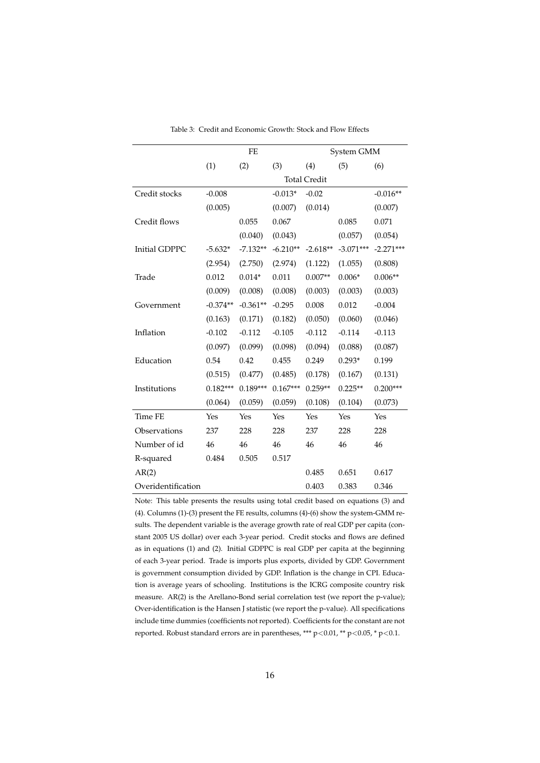|                      |            | <b>FE</b>  |            |                     | System GMM  |             |
|----------------------|------------|------------|------------|---------------------|-------------|-------------|
|                      | (1)        | (2)        | (3)        | (4)                 | (5)         | (6)         |
|                      |            |            |            | <b>Total Credit</b> |             |             |
| Credit stocks        | $-0.008$   |            | $-0.013*$  | $-0.02$             |             | $-0.016**$  |
|                      | (0.005)    |            | (0.007)    | (0.014)             |             | (0.007)     |
| Credit flows         |            | 0.055      | 0.067      |                     | 0.085       | 0.071       |
|                      |            | (0.040)    | (0.043)    |                     | (0.057)     | (0.054)     |
| <b>Initial GDPPC</b> | $-5.632*$  | $-7.132**$ | $-6.210**$ | $-2.618**$          | $-3.071***$ | $-2.271***$ |
|                      | (2.954)    | (2.750)    | (2.974)    | (1.122)             | (1.055)     | (0.808)     |
| Trade                | 0.012      | $0.014*$   | 0.011      | $0.007**$           | $0.006*$    | $0.006**$   |
|                      | (0.009)    | (0.008)    | (0.008)    | (0.003)             | (0.003)     | (0.003)     |
| Government           | $-0.374**$ | $-0.361**$ | $-0.295$   | 0.008               | 0.012       | $-0.004$    |
|                      | (0.163)    | (0.171)    | (0.182)    | (0.050)             | (0.060)     | (0.046)     |
| Inflation            | $-0.102$   | $-0.112$   | $-0.105$   | $-0.112$            | $-0.114$    | $-0.113$    |
|                      | (0.097)    | (0.099)    | (0.098)    | (0.094)             | (0.088)     | (0.087)     |
| Education            | 0.54       | 0.42       | 0.455      | 0.249               | $0.293*$    | 0.199       |
|                      | (0.515)    | (0.477)    | (0.485)    | (0.178)             | (0.167)     | (0.131)     |
| Institutions         | $0.182***$ | $0.189***$ | $0.167***$ | $0.259**$           | $0.225**$   | $0.200***$  |
|                      | (0.064)    | (0.059)    | (0.059)    | (0.108)             | (0.104)     | (0.073)     |
| <b>Time FE</b>       | Yes        | Yes        | Yes        | Yes                 | Yes         | Yes         |
| Observations         | 237        | 228        | 228        | 237                 | 228         | 228         |
| Number of id         | 46         | 46         | 46         | 46                  | 46          | 46          |
| R-squared            | 0.484      | 0.505      | 0.517      |                     |             |             |
| AR(2)                |            |            |            | 0.485               | 0.651       | 0.617       |
| Overidentification   |            |            |            | 0.403               | 0.383       | 0.346       |

Table 3: Credit and Economic Growth: Stock and Flow Effects

Note: This table presents the results using total credit based on equations (3) and (4). Columns (1)-(3) present the FE results, columns (4)-(6) show the system-GMM results. The dependent variable is the average growth rate of real GDP per capita (constant 2005 US dollar) over each 3-year period. Credit stocks and flows are defined as in equations (1) and (2). Initial GDPPC is real GDP per capita at the beginning of each 3-year period. Trade is imports plus exports, divided by GDP. Government is government consumption divided by GDP. Inflation is the change in CPI. Education is average years of schooling. Institutions is the ICRG composite country risk measure. AR(2) is the Arellano-Bond serial correlation test (we report the p-value); Over-identification is the Hansen J statistic (we report the p-value). All specifications include time dummies (coefficients not reported). Coefficients for the constant are not reported. Robust standard errors are in parentheses, \*\*\*  $p$  < 0.01, \*\*  $p$  < 0.05, \*  $p$  < 0.1.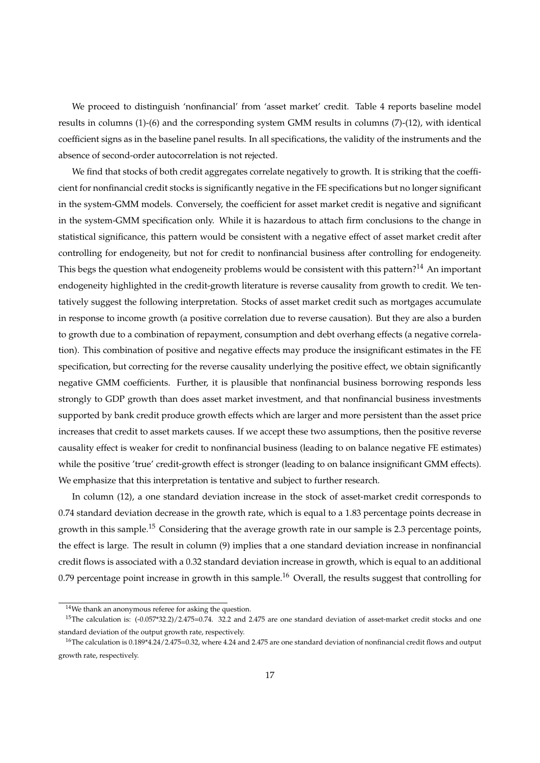We proceed to distinguish 'nonfinancial' from 'asset market' credit. Table 4 reports baseline model results in columns (1)-(6) and the corresponding system GMM results in columns (7)-(12), with identical coefficient signs as in the baseline panel results. In all specifications, the validity of the instruments and the absence of second-order autocorrelation is not rejected.

We find that stocks of both credit aggregates correlate negatively to growth. It is striking that the coefficient for nonfinancial credit stocks is significantly negative in the FE specifications but no longer significant in the system-GMM models. Conversely, the coefficient for asset market credit is negative and significant in the system-GMM specification only. While it is hazardous to attach firm conclusions to the change in statistical significance, this pattern would be consistent with a negative effect of asset market credit after controlling for endogeneity, but not for credit to nonfinancial business after controlling for endogeneity. This begs the question what endogeneity problems would be consistent with this pattern?<sup>14</sup> An important endogeneity highlighted in the credit-growth literature is reverse causality from growth to credit. We tentatively suggest the following interpretation. Stocks of asset market credit such as mortgages accumulate in response to income growth (a positive correlation due to reverse causation). But they are also a burden to growth due to a combination of repayment, consumption and debt overhang effects (a negative correlation). This combination of positive and negative effects may produce the insignificant estimates in the FE specification, but correcting for the reverse causality underlying the positive effect, we obtain significantly negative GMM coefficients. Further, it is plausible that nonfinancial business borrowing responds less strongly to GDP growth than does asset market investment, and that nonfinancial business investments supported by bank credit produce growth effects which are larger and more persistent than the asset price increases that credit to asset markets causes. If we accept these two assumptions, then the positive reverse causality effect is weaker for credit to nonfinancial business (leading to on balance negative FE estimates) while the positive 'true' credit-growth effect is stronger (leading to on balance insignificant GMM effects). We emphasize that this interpretation is tentative and subject to further research.

In column (12), a one standard deviation increase in the stock of asset-market credit corresponds to 0.74 standard deviation decrease in the growth rate, which is equal to a 1.83 percentage points decrease in growth in this sample.<sup>15</sup> Considering that the average growth rate in our sample is 2.3 percentage points, the effect is large. The result in column (9) implies that a one standard deviation increase in nonfinancial credit flows is associated with a 0.32 standard deviation increase in growth, which is equal to an additional 0.79 percentage point increase in growth in this sample.<sup>16</sup> Overall, the results suggest that controlling for

<sup>14</sup>We thank an anonymous referee for asking the question.

<sup>&</sup>lt;sup>15</sup>The calculation is:  $(-0.057*32.2)/2.475=0.74$ . 32.2 and 2.475 are one standard deviation of asset-market credit stocks and one standard deviation of the output growth rate, respectively.

<sup>&</sup>lt;sup>16</sup>The calculation is 0.189\*4.24/2.475=0.32, where 4.24 and 2.475 are one standard deviation of nonfinancial credit flows and output growth rate, respectively.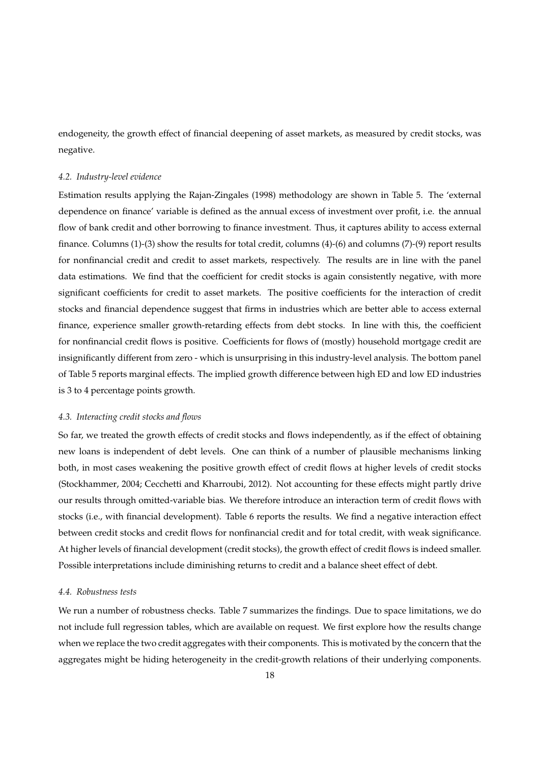endogeneity, the growth effect of financial deepening of asset markets, as measured by credit stocks, was negative.

## *4.2. Industry-level evidence*

Estimation results applying the Rajan-Zingales (1998) methodology are shown in Table 5. The 'external dependence on finance' variable is defined as the annual excess of investment over profit, i.e. the annual flow of bank credit and other borrowing to finance investment. Thus, it captures ability to access external finance. Columns (1)-(3) show the results for total credit, columns (4)-(6) and columns (7)-(9) report results for nonfinancial credit and credit to asset markets, respectively. The results are in line with the panel data estimations. We find that the coefficient for credit stocks is again consistently negative, with more significant coefficients for credit to asset markets. The positive coefficients for the interaction of credit stocks and financial dependence suggest that firms in industries which are better able to access external finance, experience smaller growth-retarding effects from debt stocks. In line with this, the coefficient for nonfinancial credit flows is positive. Coefficients for flows of (mostly) household mortgage credit are insignificantly different from zero - which is unsurprising in this industry-level analysis. The bottom panel of Table 5 reports marginal effects. The implied growth difference between high ED and low ED industries is 3 to 4 percentage points growth.

## *4.3. Interacting credit stocks and flows*

So far, we treated the growth effects of credit stocks and flows independently, as if the effect of obtaining new loans is independent of debt levels. One can think of a number of plausible mechanisms linking both, in most cases weakening the positive growth effect of credit flows at higher levels of credit stocks (Stockhammer, 2004; Cecchetti and Kharroubi, 2012). Not accounting for these effects might partly drive our results through omitted-variable bias. We therefore introduce an interaction term of credit flows with stocks (i.e., with financial development). Table 6 reports the results. We find a negative interaction effect between credit stocks and credit flows for nonfinancial credit and for total credit, with weak significance. At higher levels of financial development (credit stocks), the growth effect of credit flows is indeed smaller. Possible interpretations include diminishing returns to credit and a balance sheet effect of debt.

#### *4.4. Robustness tests*

We run a number of robustness checks. Table 7 summarizes the findings. Due to space limitations, we do not include full regression tables, which are available on request. We first explore how the results change when we replace the two credit aggregates with their components. This is motivated by the concern that the aggregates might be hiding heterogeneity in the credit-growth relations of their underlying components.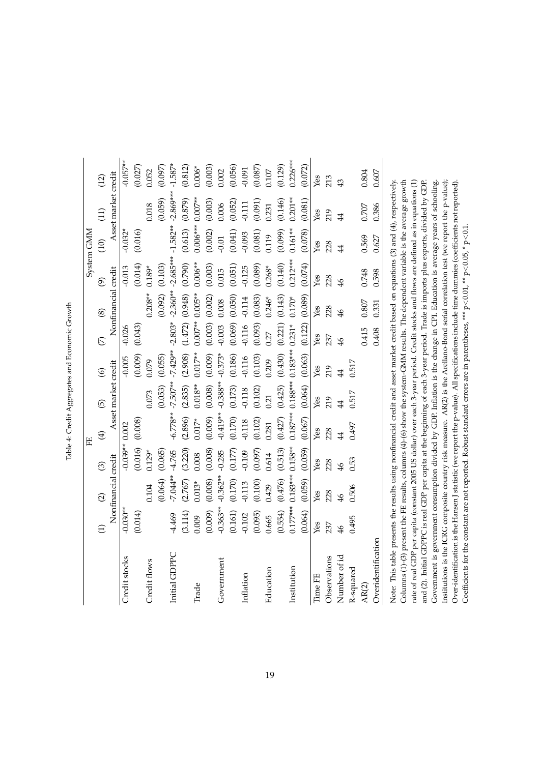|                                                                                                                                                                                                                                                                           |               |                     |                         | Ë           |                     |                |                |                     |               | System GMM     |                     |            |
|---------------------------------------------------------------------------------------------------------------------------------------------------------------------------------------------------------------------------------------------------------------------------|---------------|---------------------|-------------------------|-------------|---------------------|----------------|----------------|---------------------|---------------|----------------|---------------------|------------|
|                                                                                                                                                                                                                                                                           | $\widehat{E}$ | $\widehat{\omega}$  | $\widehat{\mathcal{O}}$ | $\bigoplus$ | $\overline{6}$      | $\odot$        | $\overline{C}$ | $\circledS$         | $\widehat{e}$ | (10)           | (11)                | (12)       |
|                                                                                                                                                                                                                                                                           |               | Nonfinancial credit |                         |             | Asset market credit |                |                | Nonfinancial credit |               |                | Asset market credit |            |
| Credit stocks                                                                                                                                                                                                                                                             | $-0.030**$    |                     | $-0.039**0.002$         |             |                     | $-0.005$       | $-0.026$       |                     | $-0.013$      | $-0.032*$      |                     | $-0.057**$ |
|                                                                                                                                                                                                                                                                           | (0.014)       |                     | 0.016                   | (0.008)     |                     | (0.009)        | (0.043)        |                     | (0.014)       | (0.016)        |                     | (0.027)    |
| Credit flows                                                                                                                                                                                                                                                              |               | 0.104               | $0.129*$                |             | 0.073               | 0.079          |                | $0.208**$           | $0.189*$      |                | 0.018               | 0.052      |
|                                                                                                                                                                                                                                                                           |               | (0.064)             | (0.065)                 |             | (0.053)             | (0.055)        |                | (0.092)             | (0.103)       |                | (0.059)             | (0.097)    |
| Initial GDPPC                                                                                                                                                                                                                                                             | $-4.469$      | 7.044**             | $-4.765$                | $-6.778**$  | $-7.507**$          | $-7.429**$     | $-2.803*$      | $-2.360**$          | $-2.685***$   | $-1.582**$     | $-2.869***$         | $-1.587*$  |
|                                                                                                                                                                                                                                                                           | (3.114)       | (2.767)             | (3.220)                 | (2.896)     | (2.835)             | (2.908)        | (1.472)        | (0.948)             | (0.790)       | (0.613)        | (0.879)             | (0.812)    |
| Trade                                                                                                                                                                                                                                                                     | 0.009         | $0.013*$            | 0.008                   | $0.017*$    | $0.018**$           | $0.017**$      | $0.007**$      | $0.005**$           | $0.006**$     | $0.006***$     | $0.007**$           | $0.006*$   |
|                                                                                                                                                                                                                                                                           | (0.009)       | (0.008)             | (0.008)                 | (0.009)     | (0.008)             | (0.009)        | (0.003)        | (0.002)             | (0.003)       | (0.002)        | (0.003)             | (0.003)    |
| Government                                                                                                                                                                                                                                                                | $-0.363**$    | $-0.362**$          | $-0.285$                | $-0.419**$  | $-0.388**$          | $-0.373*$      | $-0.003$       | 0.008               | 0.015         | $-0.01$        | 0.006               | 0.002      |
|                                                                                                                                                                                                                                                                           | (0.161)       | (0.170)             | (0.177)                 | (0.170)     | (0.173)             | (0.186)        | (0.069)        | (0.050)             | (0.051)       | (0.041)        | (0.052)             | (0.056)    |
| Inflation                                                                                                                                                                                                                                                                 | $-0.102$      | $-0.113$            | $-0.109$                | $-0.118$    | $-0.118$            | $-0.116$       | $-0.116$       | $-0.114$            | $-0.125$      | $-0.093$       | 0.111               | $-0.091$   |
|                                                                                                                                                                                                                                                                           | (0.095)       | (0.100)             | (0.097)                 | (0.102)     | (0.102)             | (0.103)        | (0.093)        | (0.083)             | (0.089)       | (0.081)        | (0.091)             | (0.087)    |
| Education                                                                                                                                                                                                                                                                 | 0.665         | 0.429               | 0.614                   | 0.281       | 0.21                | 0.209          | 0.27           | $0.246*$            | $0.268*$      | 0.119          | 0.231               | 0.107      |
|                                                                                                                                                                                                                                                                           | (0.554)       | (0.476)             | (0.513)                 | (0.427)     | (0.425)             | (0.430)        | (0.221)        | (0.143)             | (0.140)       | (0.099)        | (0.146)             | (0.129)    |
| Institution                                                                                                                                                                                                                                                               | $0.177***$    | $0.183***$          | $0.158**$               |             | $0.187***0.188***$  | $0.183***$     | $0.231*$       | $0.170*$            | $0.212***$    | $0.161**$      | $0.201**$           | $0.226***$ |
|                                                                                                                                                                                                                                                                           | (0.064)       | (0.059)             | (0.059)                 | (0.067)     | (0.064)             | (0.063)        | (0.122)        | (0.089)             | (0.074)       | (0.078)        | (0.081)             | (0.072)    |
| Time FE                                                                                                                                                                                                                                                                   | Yes           | Yes                 | Yes                     | Yes         | Yes                 | Yes            | Yes            | Yes                 | Yes           | Yes            | Yes                 | Yes        |
| Observations                                                                                                                                                                                                                                                              | 237           | 228                 | 228                     | 228         | 219                 | 219            | 237            | 228                 | 228           | 228            | 219                 | 213        |
| Number of id                                                                                                                                                                                                                                                              | $\frac{4}{6}$ | $\frac{4}{5}$       | $\frac{3}{4}$           | $\ddot{4}$  | $\frac{4}{3}$       | $\overline{4}$ | $\frac{3}{4}$  | $\frac{4}{6}$       | $\frac{4}{6}$ | $\overline{4}$ | $\overline{4}$      | 43         |
| R-squared                                                                                                                                                                                                                                                                 | 0.495         | 0.506               | 0.53                    | 0.497       | 0.517               | 0.517          |                |                     |               |                |                     |            |
| AR(2)                                                                                                                                                                                                                                                                     |               |                     |                         |             |                     |                | 0.415          | 0.807               | 0.748         | 0.569          | $0.707$             | 0.804      |
| Overidentification                                                                                                                                                                                                                                                        |               |                     |                         |             |                     |                | 0.408          | 0.331               | 0.598         | 0.627          | 0.386               | 0.607      |
| Note: This table presents the results using nonfinancial credit and asset market credit based on equations (3) and (4), respectively.                                                                                                                                     |               |                     |                         |             |                     |                |                |                     |               |                |                     |            |
| Columns (1)-(3) present the FE results, columns (4)-(6) show the system-GMM results. The dependent variable is the average growth                                                                                                                                         |               |                     |                         |             |                     |                |                |                     |               |                |                     |            |
| rate of real GDP per capita (constant 2005 US dollar) over each 3-year period. Credit stocks and flows are defined as in equations (1)                                                                                                                                    |               |                     |                         |             |                     |                |                |                     |               |                |                     |            |
| and (2). Initial GDPPC is real GDP per capita at the beginning of each 3-year period. Trade is imports plus exports, divided by GDP.                                                                                                                                      |               |                     |                         |             |                     |                |                |                     |               |                |                     |            |
| Government is government consumption divided by GDP. Inflation is the change in CPI. Education is average years of schooling.                                                                                                                                             |               |                     |                         |             |                     |                |                |                     |               |                |                     |            |
| Institutions is the ICRG composite country risk measure. AR(2) is the Arellano-Bond serial correlation test (we report the p-value);                                                                                                                                      |               |                     |                         |             |                     |                |                |                     |               |                |                     |            |
| Over-identification is the Hansen J statistic (we report the p-value). All specifications include time dummies (coefficients not reported).<br>Coefficients for the constant are not reported. Robust standard errors are in parentheses, *** $p < 0.01$ , ** $p < 0.1$ , |               |                     |                         |             |                     |                |                |                     |               |                |                     |            |

Table 4: Credit Aggregates and Economic Growth Table 4: Credit Aggregates and Economic Growth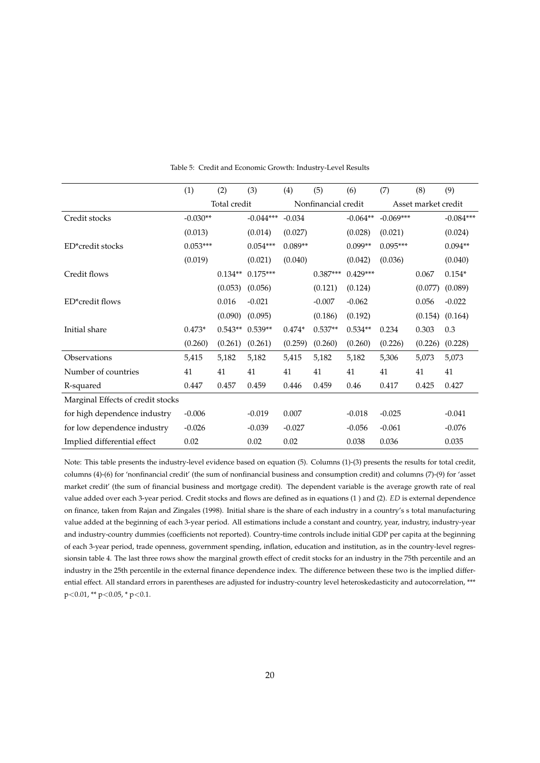|                                   | (1)        | (2)          | (3)         | (4)       | (5)                 | (6)        | (7)         | (8)                 | (9)         |
|-----------------------------------|------------|--------------|-------------|-----------|---------------------|------------|-------------|---------------------|-------------|
|                                   |            | Total credit |             |           | Nonfinancial credit |            |             | Asset market credit |             |
| Credit stocks                     | $-0.030**$ |              | $-0.044***$ | $-0.034$  |                     | $-0.064**$ | $-0.069***$ |                     | $-0.084***$ |
|                                   | (0.013)    |              | (0.014)     | (0.027)   |                     | (0.028)    | (0.021)     |                     | (0.024)     |
| ED*credit stocks                  | $0.053***$ |              | $0.054***$  | $0.089**$ |                     | $0.099**$  | $0.095***$  |                     | $0.094**$   |
|                                   | (0.019)    |              | (0.021)     | (0.040)   |                     | (0.042)    | (0.036)     |                     | (0.040)     |
| Credit flows                      |            | $0.134**$    | $0.175***$  |           | $0.387***$          | $0.429***$ |             | 0.067               | $0.154*$    |
|                                   |            | (0.053)      | (0.056)     |           | (0.121)             | (0.124)    |             | (0.077)             | (0.089)     |
| ED*credit flows                   |            | 0.016        | $-0.021$    |           | $-0.007$            | $-0.062$   |             | 0.056               | $-0.022$    |
|                                   |            | (0.090)      | (0.095)     |           | (0.186)             | (0.192)    |             | (0.154)             | (0.164)     |
| Initial share                     | $0.473*$   | $0.543**$    | $0.539**$   | $0.474*$  | $0.537**$           | $0.534**$  | 0.234       | 0.303               | 0.3         |
|                                   | (0.260)    | (0.261)      | (0.261)     | (0.259)   | (0.260)             | (0.260)    | (0.226)     | (0.226)             | (0.228)     |
| Observations                      | 5,415      | 5,182        | 5,182       | 5,415     | 5,182               | 5,182      | 5,306       | 5,073               | 5,073       |
| Number of countries               | 41         | 41           | 41          | 41        | 41                  | 41         | 41          | 41                  | 41          |
| R-squared                         | 0.447      | 0.457        | 0.459       | 0.446     | 0.459               | 0.46       | 0.417       | 0.425               | 0.427       |
| Marginal Effects of credit stocks |            |              |             |           |                     |            |             |                     |             |
| for high dependence industry      | $-0.006$   |              | $-0.019$    | 0.007     |                     | $-0.018$   | $-0.025$    |                     | $-0.041$    |
| for low dependence industry       | $-0.026$   |              | $-0.039$    | $-0.027$  |                     | $-0.056$   | $-0.061$    |                     | $-0.076$    |
| Implied differential effect       | 0.02       |              | 0.02        | 0.02      |                     | 0.038      | 0.036       |                     | 0.035       |

Table 5: Credit and Economic Growth: Industry-Level Results

Note: This table presents the industry-level evidence based on equation (5). Columns (1)-(3) presents the results for total credit, columns (4)-(6) for 'nonfinancial credit' (the sum of nonfinancial business and consumption credit) and columns (7)-(9) for 'asset market credit' (the sum of financial business and mortgage credit). The dependent variable is the average growth rate of real value added over each 3-year period. Credit stocks and flows are defined as in equations (1 ) and (2). *ED* is external dependence on finance, taken from Rajan and Zingales (1998). Initial share is the share of each industry in a country's s total manufacturing value added at the beginning of each 3-year period. All estimations include a constant and country, year, industry, industry-year and industry-country dummies (coefficients not reported). Country-time controls include initial GDP per capita at the beginning of each 3-year period, trade openness, government spending, inflation, education and institution, as in the country-level regressionsin table 4. The last three rows show the marginal growth effect of credit stocks for an industry in the 75th percentile and an industry in the 25th percentile in the external finance dependence index. The difference between these two is the implied differential effect. All standard errors in parentheses are adjusted for industry-country level heteroskedasticity and autocorrelation, \*\*\*  $p<0.01$ , \*\*  $p<0.05$ , \*  $p<0.1$ .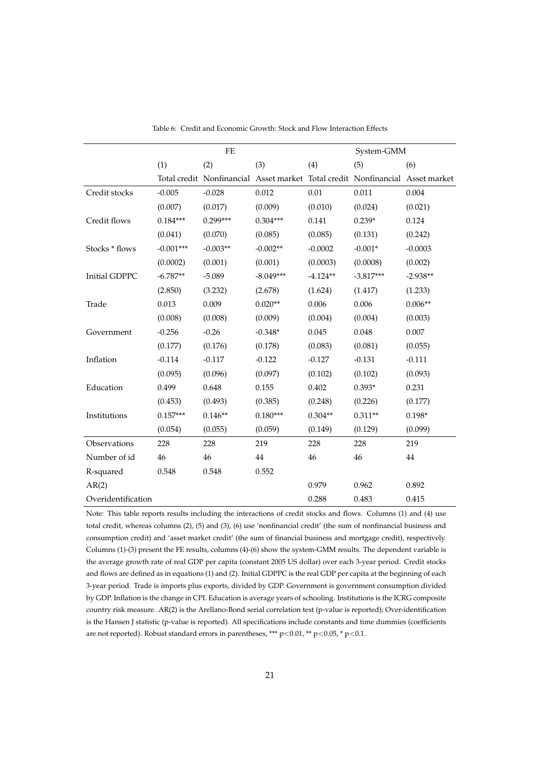|                      |             | $\rm FE$   |                                                                               |            |             |            |
|----------------------|-------------|------------|-------------------------------------------------------------------------------|------------|-------------|------------|
|                      |             |            |                                                                               |            | System-GMM  |            |
|                      | (1)         | (2)        | (3)                                                                           | (4)        | (5)         | (6)        |
|                      |             |            | Total credit Nonfinancial Asset market Total credit Nonfinancial Asset market |            |             |            |
| Credit stocks        | $-0.005$    | $-0.028$   | 0.012                                                                         | 0.01       | 0.011       | 0.004      |
|                      | (0.007)     | (0.017)    | (0.009)                                                                       | (0.010)    | (0.024)     | (0.021)    |
| Credit flows         | $0.184***$  | $0.299***$ | $0.304***$                                                                    | 0.141      | $0.239*$    | 0.124      |
|                      | (0.041)     | (0.070)    | (0.085)                                                                       | (0.085)    | (0.131)     | (0.242)    |
| Stocks * flows       | $-0.001***$ | $-0.003**$ | $-0.002**$                                                                    | $-0.0002$  | $-0.001*$   | $-0.0003$  |
|                      | (0.0002)    | (0.001)    | (0.001)                                                                       | (0.0003)   | (0.0008)    | (0.002)    |
| <b>Initial GDPPC</b> | $-6.787**$  | $-5.089$   | $-8.049***$                                                                   | $-4.124**$ | $-3.817***$ | $-2.938**$ |
|                      | (2.850)     | (3.232)    | (2.678)                                                                       | (1.624)    | (1.417)     | (1.233)    |
| Trade                | 0.013       | 0.009      | $0.020**$                                                                     | 0.006      | 0.006       | $0.006**$  |
|                      | (0.008)     | (0.008)    | (0.009)                                                                       | (0.004)    | (0.004)     | (0.003)    |
| Government           | $-0.256$    | $-0.26$    | $-0.348*$                                                                     | 0.045      | 0.048       | 0.007      |
|                      | (0.177)     | (0.176)    | (0.178)                                                                       | (0.083)    | (0.081)     | (0.055)    |
| Inflation            | $-0.114$    | $-0.117$   | $-0.122$                                                                      | $-0.127$   | $-0.131$    | $-0.111$   |
|                      | (0.095)     | (0.096)    | (0.097)                                                                       | (0.102)    | (0.102)     | (0.093)    |
| Education            | 0.499       | 0.648      | 0.155                                                                         | 0.402      | $0.393*$    | 0.231      |
|                      | (0.453)     | (0.493)    | (0.385)                                                                       | (0.248)    | (0.226)     | (0.177)    |
| Institutions         | $0.157***$  | $0.146**$  | $0.180***$                                                                    | $0.304**$  | $0.311**$   | $0.198*$   |
|                      | (0.054)     | (0.055)    | (0.059)                                                                       | (0.149)    | (0.129)     | (0.099)    |
| Observations         | 228         | 228        | 219                                                                           | 228        | 228         | 219        |
| Number of id         | 46          | 46         | 44                                                                            | 46         | 46          | $44\,$     |
| R-squared            | 0.548       | 0.548      | 0.552                                                                         |            |             |            |
| AR(2)                |             |            |                                                                               | 0.979      | 0.962       | 0.892      |
| Overidentification   |             |            |                                                                               | 0.288      | 0.483       | 0.415      |

Table 6: Credit and Economic Growth: Stock and Flow Interaction Effects

Note: This table reports results including the interactions of credit stocks and flows. Columns (1) and (4) use total credit, whereas columns (2), (5) and (3), (6) use 'nonfinancial credit' (the sum of nonfinancial business and consumption credit) and 'asset market credit' (the sum of financial business and mortgage credit), respectively. Columns (1)-(3) present the FE results, columns (4)-(6) show the system-GMM results. The dependent variable is the average growth rate of real GDP per capita (constant 2005 US dollar) over each 3-year period. Credit stocks and flows are defined as in equations (1) and (2). Initial GDPPC is the real GDP per capita at the beginning of each 3-year period. Trade is imports plus exports, divided by GDP. Government is government consumption divided by GDP. Inflation is the change in CPI. Education is average years of schooling. Institutions is the ICRG composite country risk measure. AR(2) is the Arellano-Bond serial correlation test (p-value is reported); Over-identification is the Hansen J statistic (p-value is reported). All specifications include constants and time dummies (coefficients are not reported). Robust standard errors in parentheses, \*\*\* p<0.01, \*\* p<0.05, \* p<0.1.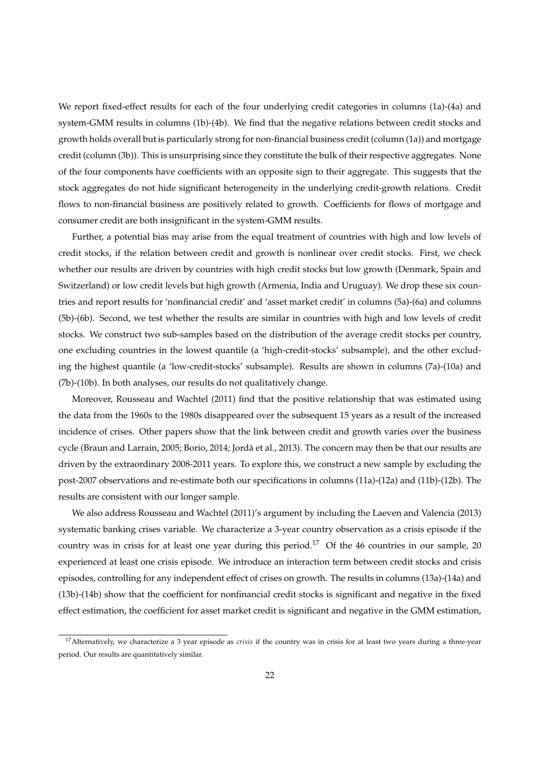We report fixed-effect results for each of the four underlying credit categories in columns (1a)-(4a) and system-GMM results in columns (1b)-(4b). We find that the negative relations between credit stocks and growth holds overall but is particularly strong for non-financial business credit (column (1a)) and mortgage credit (column (3b)). This is unsurprising since they constitute the bulk of their respective aggregates. None of the four components have coefficients with an opposite sign to their aggregate. This suggests that the stock aggregates do not hide significant heterogeneity in the underlying credit-growth relations. Credit flows to non-financial business are positively related to growth. Coefficients for flows of mortgage and consumer credit are both insignificant in the system-GMM results.

Further, a potential bias may arise from the equal treatment of countries with high and low levels of credit stocks, if the relation between credit and growth is nonlinear over credit stocks. First, we check whether our results are driven by countries with high credit stocks but low growth (Denmark, Spain and Switzerland) or low credit levels but high growth (Armenia, India and Uruguay). We drop these six countries and report results for 'nonfinancial credit' and 'asset market credit' in columns (5a)-(6a) and columns (5b)-(6b). Second, we test whether the results are similar in countries with high and low levels of credit stocks. We construct two sub-samples based on the distribution of the average credit stocks per country, one excluding countries in the lowest quantile (a 'high-credit-stocks' subsample), and the other excluding the highest quantile (a 'low-credit-stocks' subsample). Results are shown in columns (7a)-(10a) and (7b)-(10b). In both analyses, our results do not qualitatively change.

Moreover, Rousseau and Wachtel (2011) find that the positive relationship that was estimated using the data from the 1960s to the 1980s disappeared over the subsequent 15 years as a result of the increased incidence of crises. Other papers show that the link between credit and growth varies over the business cycle (Braun and Larrain, 2005; Borio, 2014; Jordà et al., 2013). The concern may then be that our results are driven by the extraordinary 2008-2011 years. To explore this, we construct a new sample by excluding the post-2007 observations and re-estimate both our specifications in columns (11a)-(12a) and (11b)-(12b). The results are consistent with our longer sample.

We also address Rousseau and Wachtel (2011)'s argument by including the Laeven and Valencia (2013) systematic banking crises variable. We characterize a 3-year country observation as a crisis episode if the country was in crisis for at least one year during this period.<sup>17</sup> Of the 46 countries in our sample, 20 experienced at least one crisis episode. We introduce an interaction term between credit stocks and crisis episodes, controlling for any independent effect of crises on growth. The results in columns (13a)-(14a) and (13b)-(14b) show that the coefficient for nonfinancial credit stocks is significant and negative in the fixed effect estimation, the coefficient for asset market credit is significant and negative in the GMM estimation,

<sup>&</sup>lt;sup>17</sup>Alternatively, we characterize a 3 year episode as *crisis* if the country was in crisis for at least two years during a three-year period. Our results are quantitatively similar.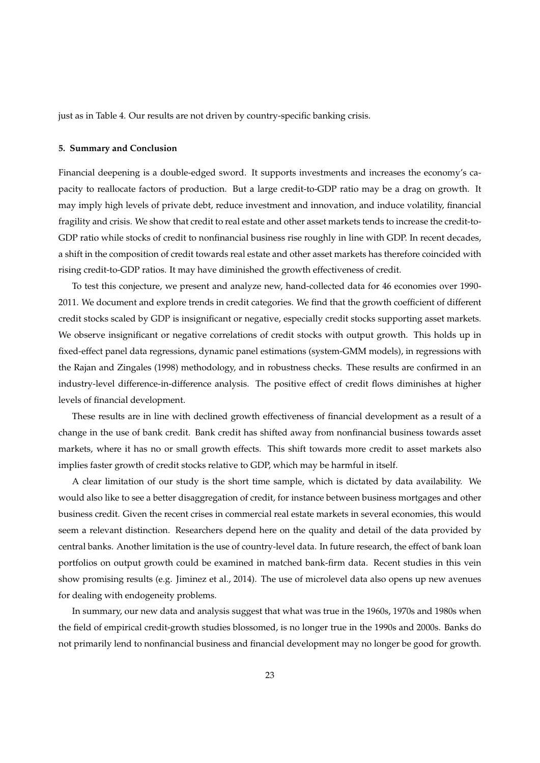just as in Table 4. Our results are not driven by country-specific banking crisis.

## **5. Summary and Conclusion**

Financial deepening is a double-edged sword. It supports investments and increases the economy's capacity to reallocate factors of production. But a large credit-to-GDP ratio may be a drag on growth. It may imply high levels of private debt, reduce investment and innovation, and induce volatility, financial fragility and crisis. We show that credit to real estate and other asset markets tends to increase the credit-to-GDP ratio while stocks of credit to nonfinancial business rise roughly in line with GDP. In recent decades, a shift in the composition of credit towards real estate and other asset markets has therefore coincided with rising credit-to-GDP ratios. It may have diminished the growth effectiveness of credit.

To test this conjecture, we present and analyze new, hand-collected data for 46 economies over 1990- 2011. We document and explore trends in credit categories. We find that the growth coefficient of different credit stocks scaled by GDP is insignificant or negative, especially credit stocks supporting asset markets. We observe insignificant or negative correlations of credit stocks with output growth. This holds up in fixed-effect panel data regressions, dynamic panel estimations (system-GMM models), in regressions with the Rajan and Zingales (1998) methodology, and in robustness checks. These results are confirmed in an industry-level difference-in-difference analysis. The positive effect of credit flows diminishes at higher levels of financial development.

These results are in line with declined growth effectiveness of financial development as a result of a change in the use of bank credit. Bank credit has shifted away from nonfinancial business towards asset markets, where it has no or small growth effects. This shift towards more credit to asset markets also implies faster growth of credit stocks relative to GDP, which may be harmful in itself.

A clear limitation of our study is the short time sample, which is dictated by data availability. We would also like to see a better disaggregation of credit, for instance between business mortgages and other business credit. Given the recent crises in commercial real estate markets in several economies, this would seem a relevant distinction. Researchers depend here on the quality and detail of the data provided by central banks. Another limitation is the use of country-level data. In future research, the effect of bank loan portfolios on output growth could be examined in matched bank-firm data. Recent studies in this vein show promising results (e.g. Jiminez et al., 2014). The use of microlevel data also opens up new avenues for dealing with endogeneity problems.

In summary, our new data and analysis suggest that what was true in the 1960s, 1970s and 1980s when the field of empirical credit-growth studies blossomed, is no longer true in the 1990s and 2000s. Banks do not primarily lend to nonfinancial business and financial development may no longer be good for growth.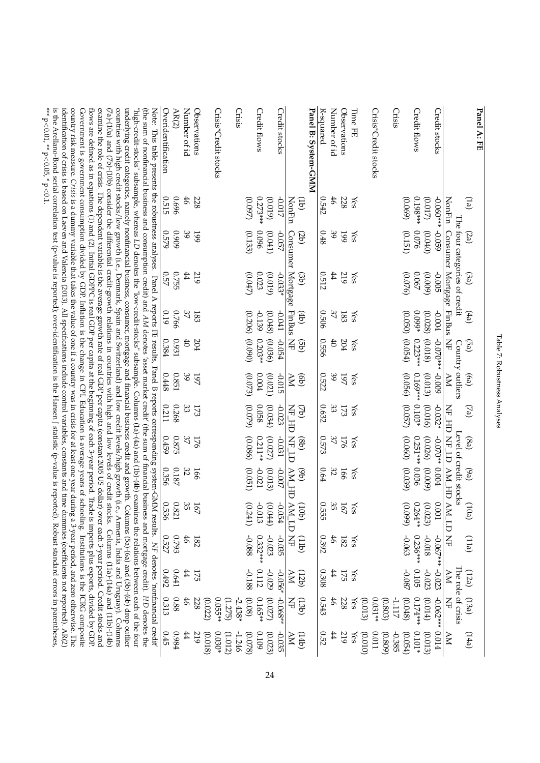| *** $p$ $>$ 0.001, ** $p$ $>$ 0.005, * $p$ $>$ 0.105, * $p$ $>$ 0.105, * $p$ $>$ 0.105, * $p$ $>$ 0.105, * $p$ $>$ 0.11 $\pm$<br>identification of crisis is based on Laeven and Valencia (2013). All specifications include control variables, constants and time dummies (coefficients not reported). AR(2)<br>country risk measure. Crisis is a dummy variable that takes the value of one if a country was in crisis for at least one year during a 3-year period, and zero otherwise. The<br>examine the role of crisis. The dependent variable is the average growth rate of real GDP per capita (constant 2005 US dollar) over each 3-year period. Credit stocks and<br>countries with high credit stocks/low growth (i.e., Denmark, Spain and Switzerland) and low credit levels/high growth (i.e., Armenia, India and Uruguay). Columns<br>underlying credit categories, namely nonfinancial business, consumer, mortgage and financial business credit and growth. Columns (5a)-(6a) and (5b)-(6b) drop outlier<br>is the Arellano-Bond serial correlation test (p-value is reported); over-identification is the Hansen J statistic (p-value is reported). Robust standard errors in parentheses<br>Government is government consumption divided by GDP. Inflation is the change in CPL Education is average years of schooling. Institutions is the ICRG composite<br>flows are defined as in equations (1) and (2). Initial GDPPC is real GDP per capita at the beginning of each 3-year period. Trade is imports plus exports, divided by GDP.<br>(the sum of nonfinancial business and consumption credit) and AM denotes 'asset market credit' (the sum of financial business and mortgage credit). HD denotes the<br>(7a)-(10a) and (7b)-(10b) consider the differential credit-growth relations in countries with high and low levels of credit stocks. Columns (11a)-(14a) and (11b)-(14b)<br>$\frac{1}{2}$ in a secondite, whereas LD denotes in the sequence of $\frac{1}{2}$ and $\frac{1}{2}$ and $\frac{1}{2}$ and $\frac{1}{2}$ and $\frac{1}{2}$ and $\frac{1}{2}$ and $\frac{1}{2}$ and $\frac{1}{2}$ and $\frac{1}{2}$ and $\frac{1}{2}$ and $\frac{1}{2}$ and $\frac$<br>Note: This table presents the robustness analyses. Panel A reports FE results, Panel B reports corresponding system-GMM results. NF denotes 'nonfinancial credit' | Overidentification | AR(2)     | Number of id    | Observations | Crisis*Credit stocks           | Crisis    |         | Credit flows           | <b>Credit stocks</b>    |                             |                              | Panel B: System-GMM | R-squared | Number of id   | Observations | <b>Time FE</b> | Crisis*Credit stocks            | Crisis            | Credit flows    |         | Credit stocks           |                                                                  |       | Panel A: FE |
|-------------------------------------------------------------------------------------------------------------------------------------------------------------------------------------------------------------------------------------------------------------------------------------------------------------------------------------------------------------------------------------------------------------------------------------------------------------------------------------------------------------------------------------------------------------------------------------------------------------------------------------------------------------------------------------------------------------------------------------------------------------------------------------------------------------------------------------------------------------------------------------------------------------------------------------------------------------------------------------------------------------------------------------------------------------------------------------------------------------------------------------------------------------------------------------------------------------------------------------------------------------------------------------------------------------------------------------------------------------------------------------------------------------------------------------------------------------------------------------------------------------------------------------------------------------------------------------------------------------------------------------------------------------------------------------------------------------------------------------------------------------------------------------------------------------------------------------------------------------------------------------------------------------------------------------------------------------------------------------------------------------------------------------------------------------------------------------------------------------------------------------------------------------------------------------------------------------------------------------------------------------------------------------------------------------------------------------------------------------------------|--------------------|-----------|-----------------|--------------|--------------------------------|-----------|---------|------------------------|-------------------------|-----------------------------|------------------------------|---------------------|-----------|----------------|--------------|----------------|---------------------------------|-------------------|-----------------|---------|-------------------------|------------------------------------------------------------------|-------|-------------|
|                                                                                                                                                                                                                                                                                                                                                                                                                                                                                                                                                                                                                                                                                                                                                                                                                                                                                                                                                                                                                                                                                                                                                                                                                                                                                                                                                                                                                                                                                                                                                                                                                                                                                                                                                                                                                                                                                                                                                                                                                                                                                                                                                                                                                                                                                                                                                                         | 0.515              | 969'0     | 46              | 228          |                                |           | (0.097) | $0.273***$<br>(0.019)  | -0.017                  | NonFin                      | $\left( \frac{1}{2} \right)$ |                     | 0.542     | $\ddot{6}$     | 228          | Yes            |                                 | (0.069)           | $0.198***$      | (0.017) | $-0.060**$              |                                                                  | (1a)  |             |
|                                                                                                                                                                                                                                                                                                                                                                                                                                                                                                                                                                                                                                                                                                                                                                                                                                                                                                                                                                                                                                                                                                                                                                                                                                                                                                                                                                                                                                                                                                                                                                                                                                                                                                                                                                                                                                                                                                                                                                                                                                                                                                                                                                                                                                                                                                                                                                         | 0.579              | 60600     | $\frac{39}{2}$  | 661          |                                |           | (0.133) | 960'0<br>(0.041)       | <b>ZSO</b> <sup>-</sup> |                             | (2b)                         |                     | 0.48      | $\frac{39}{2}$ | <b>661</b>   | Yes            |                                 | (0.151)           | 0.076           | (0.040) | -0.059                  |                                                                  | (2a)  |             |
|                                                                                                                                                                                                                                                                                                                                                                                                                                                                                                                                                                                                                                                                                                                                                                                                                                                                                                                                                                                                                                                                                                                                                                                                                                                                                                                                                                                                                                                                                                                                                                                                                                                                                                                                                                                                                                                                                                                                                                                                                                                                                                                                                                                                                                                                                                                                                                         | 0.57               | 0.755     | #               | 219          |                                |           | (0.047) | $0.023\,$<br>(0.019)   | $-0.033*$               | Consumer Mortgage FinBus NF | (3b)                         |                     | 0.512     | $\ddot{4}$     | 219          | Yes            |                                 | (0.076)           | 0.067           | (6000)  | <b>SOO</b> <sup>-</sup> | NonFin Consumer Mortgage FinBus<br>The four categories of credit | (3a)  |             |
|                                                                                                                                                                                                                                                                                                                                                                                                                                                                                                                                                                                                                                                                                                                                                                                                                                                                                                                                                                                                                                                                                                                                                                                                                                                                                                                                                                                                                                                                                                                                                                                                                                                                                                                                                                                                                                                                                                                                                                                                                                                                                                                                                                                                                                                                                                                                                                         | 0.19               | 0.766     | 37              | 183          |                                |           | (0.206) | -0.139<br>(0.048)      | LPO.O-                  |                             | $\left( 4b\right)$           |                     | 9090      | 37             | 183          | Yes            |                                 | (0.050)           | $0.099*$        | (0.028) | $-0.004$                |                                                                  | (4a)  |             |
|                                                                                                                                                                                                                                                                                                                                                                                                                                                                                                                                                                                                                                                                                                                                                                                                                                                                                                                                                                                                                                                                                                                                                                                                                                                                                                                                                                                                                                                                                                                                                                                                                                                                                                                                                                                                                                                                                                                                                                                                                                                                                                                                                                                                                                                                                                                                                                         | 0.384              | 1660      | $\ddot{ }$      | 204          |                                |           | (0.090) | (0.036)<br>$0.203**$   | FS0'0-                  |                             | $\left($ qg $\right)$        |                     | 0.556     | $\ddot{6}$     | 204          | Yes            |                                 | (0.054)           | $0.223***$      | (0.018) | $-0.070***$             | $\Xi$<br>Country outliers                                        | (Pa)  |             |
|                                                                                                                                                                                                                                                                                                                                                                                                                                                                                                                                                                                                                                                                                                                                                                                                                                                                                                                                                                                                                                                                                                                                                                                                                                                                                                                                                                                                                                                                                                                                                                                                                                                                                                                                                                                                                                                                                                                                                                                                                                                                                                                                                                                                                                                                                                                                                                         | 0.448              | $0.851\,$ | 39              | 161          |                                |           | (0.073) | 0.004<br>(0.021)       | -0.015                  | NΑ                          | $\left($ eb)                 |                     | 0.522     | $\mathcal{S}$  | 197          | Yes            |                                 | (0.056)           | $0.169**0.103*$ | (0.013) | 600'0-                  | NA                                                               | (6a)  |             |
|                                                                                                                                                                                                                                                                                                                                                                                                                                                                                                                                                                                                                                                                                                                                                                                                                                                                                                                                                                                                                                                                                                                                                                                                                                                                                                                                                                                                                                                                                                                                                                                                                                                                                                                                                                                                                                                                                                                                                                                                                                                                                                                                                                                                                                                                                                                                                                         | 0.211              | 0.268     | 33              | 173          |                                |           | (0.079) | 820.0<br>(0.034)       | $-0.023$                | NE HD NE LD                 | (42)                         |                     | 0.632     | 33             | 173          | Yes            |                                 | (0.057)           |                 | (0.016) | $-0.032*$               |                                                                  | (5a)  |             |
|                                                                                                                                                                                                                                                                                                                                                                                                                                                                                                                                                                                                                                                                                                                                                                                                                                                                                                                                                                                                                                                                                                                                                                                                                                                                                                                                                                                                                                                                                                                                                                                                                                                                                                                                                                                                                                                                                                                                                                                                                                                                                                                                                                                                                                                                                                                                                                         | 0.459              | 0.875     | 37              | 176          |                                |           | (0.086) | $0.211**$<br>(0.027)   | 10.031                  |                             | (98)                         |                     | 0.573     | $\mathcal{Z}$  | 176          | Yes            |                                 | (0.060)           | $0.251***0.036$ | (0.026) | $-0.070**$              |                                                                  | (6a)  |             |
|                                                                                                                                                                                                                                                                                                                                                                                                                                                                                                                                                                                                                                                                                                                                                                                                                                                                                                                                                                                                                                                                                                                                                                                                                                                                                                                                                                                                                                                                                                                                                                                                                                                                                                                                                                                                                                                                                                                                                                                                                                                                                                                                                                                                                                                                                                                                                                         | 0.356              | $0.187\,$ | 32              | 166          |                                |           | (0.051) | $-0.021$<br>(0.013)    | -0.007                  |                             | $\Theta$                     |                     | 0.64      | 32             | 166          | Yes            |                                 | (0.039)           |                 | (0.009) | 0.004                   | Level of credit stocks                                           | (69)  |             |
|                                                                                                                                                                                                                                                                                                                                                                                                                                                                                                                                                                                                                                                                                                                                                                                                                                                                                                                                                                                                                                                                                                                                                                                                                                                                                                                                                                                                                                                                                                                                                                                                                                                                                                                                                                                                                                                                                                                                                                                                                                                                                                                                                                                                                                                                                                                                                                         | 0.536              | 0.821     | 35              | 167          |                                |           | (0.241) | -0.013<br>(0.044)      | $0 -$<br>954            | AM_HD AM_LD NF              | $(q_{0L})$                   |                     | 0.555     | 35             | 167          | Yes            |                                 | (660)             | $0.264**$       | (0.023) | 0.001                   | HE_HD_NF_HD_AN_HD_NF_HD_NF_                                      | (10a) |             |
|                                                                                                                                                                                                                                                                                                                                                                                                                                                                                                                                                                                                                                                                                                                                                                                                                                                                                                                                                                                                                                                                                                                                                                                                                                                                                                                                                                                                                                                                                                                                                                                                                                                                                                                                                                                                                                                                                                                                                                                                                                                                                                                                                                                                                                                                                                                                                                         | 0.527              | 6.793     | 46              | 182          |                                |           | -0.088  | $0.332***$<br>$-0.023$ | -0.035                  |                             | (411)                        |                     | 0.392     | 46             | 182          | Yes            |                                 | -0.063            | 0.236***        | 810.0-  | $-0.067**$              |                                                                  | (11a) |             |
|                                                                                                                                                                                                                                                                                                                                                                                                                                                                                                                                                                                                                                                                                                                                                                                                                                                                                                                                                                                                                                                                                                                                                                                                                                                                                                                                                                                                                                                                                                                                                                                                                                                                                                                                                                                                                                                                                                                                                                                                                                                                                                                                                                                                                                                                                                                                                                         | 0.492              | 0.641     | 44              | 175          |                                |           | -0.188  | 0.112<br>-0.029        | -0.056*                 | NA                          | (12b)                        |                     | 0.308     | #              | 175          | Yes            |                                 | -0.087            | 0.105           | -0.023  | -0.023                  | NA                                                               | (12a) |             |
|                                                                                                                                                                                                                                                                                                                                                                                                                                                                                                                                                                                                                                                                                                                                                                                                                                                                                                                                                                                                                                                                                                                                                                                                                                                                                                                                                                                                                                                                                                                                                                                                                                                                                                                                                                                                                                                                                                                                                                                                                                                                                                                                                                                                                                                                                                                                                                         | 0.313              | 880       | $\ddot{\theta}$ | 228          | 0.055**<br>(0.022)<br>(1.275)  | $-2.438*$ | (0.08)  | $0.165**$<br>(0.027)   | $-0.068**$              | $\Xi$                       | (13b)                        |                     | 0.543     | 46             | 228          | Yes            | $0.031**$<br>(0.803)<br>(0.013) | (0.048)<br>-1.117 | 0.174***        | (0.014) | $-0.062***$             | The role of crisis<br>$\Xi$                                      | (13a) |             |
|                                                                                                                                                                                                                                                                                                                                                                                                                                                                                                                                                                                                                                                                                                                                                                                                                                                                                                                                                                                                                                                                                                                                                                                                                                                                                                                                                                                                                                                                                                                                                                                                                                                                                                                                                                                                                                                                                                                                                                                                                                                                                                                                                                                                                                                                                                                                                                         | 0.45               | 1.984     | $\ddot{4}$      | 219          | $0.030*$<br>(0.018)<br>(1.012) | -1.246    | (0.078) | 0.109<br>(0.023)       | $-0.035$                | NA                          | (4f1)                        |                     | 0.52      | #              | 219          | Yes            | 0.011<br>(010)<br>(0.809)       | -0.385<br>(0.054) | $0.101*$        | (0.013) | 10.014                  | $\overline{\mathsf{X}}$                                          | (14a) |             |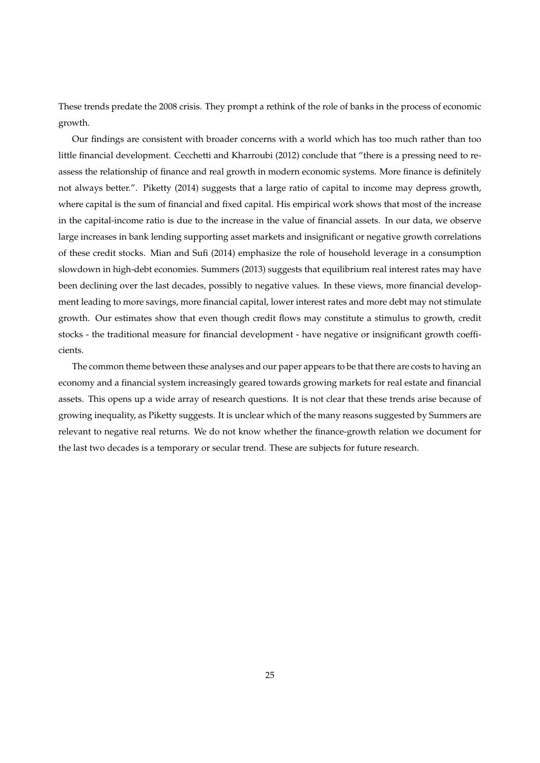These trends predate the 2008 crisis. They prompt a rethink of the role of banks in the process of economic growth.

Our findings are consistent with broader concerns with a world which has too much rather than too little financial development. Cecchetti and Kharroubi (2012) conclude that "there is a pressing need to reassess the relationship of finance and real growth in modern economic systems. More finance is definitely not always better.". Piketty (2014) suggests that a large ratio of capital to income may depress growth, where capital is the sum of financial and fixed capital. His empirical work shows that most of the increase in the capital-income ratio is due to the increase in the value of financial assets. In our data, we observe large increases in bank lending supporting asset markets and insignificant or negative growth correlations of these credit stocks. Mian and Sufi (2014) emphasize the role of household leverage in a consumption slowdown in high-debt economies. Summers (2013) suggests that equilibrium real interest rates may have been declining over the last decades, possibly to negative values. In these views, more financial development leading to more savings, more financial capital, lower interest rates and more debt may not stimulate growth. Our estimates show that even though credit flows may constitute a stimulus to growth, credit stocks - the traditional measure for financial development - have negative or insignificant growth coefficients.

The common theme between these analyses and our paper appears to be that there are costs to having an economy and a financial system increasingly geared towards growing markets for real estate and financial assets. This opens up a wide array of research questions. It is not clear that these trends arise because of growing inequality, as Piketty suggests. It is unclear which of the many reasons suggested by Summers are relevant to negative real returns. We do not know whether the finance-growth relation we document for the last two decades is a temporary or secular trend. These are subjects for future research.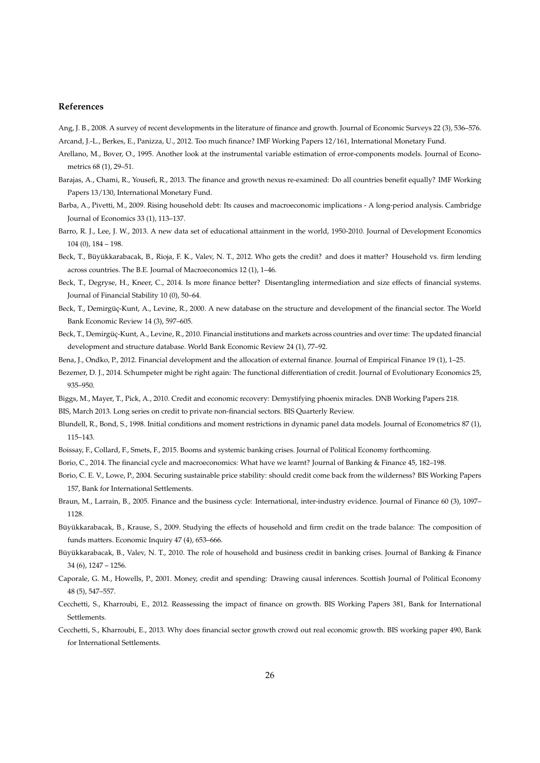#### **References**

Ang, J. B., 2008. A survey of recent developments in the literature of finance and growth. Journal of Economic Surveys 22 (3), 536–576.

Arcand, J.-L., Berkes, E., Panizza, U., 2012. Too much finance? IMF Working Papers 12/161, International Monetary Fund.

- Arellano, M., Bover, O., 1995. Another look at the instrumental variable estimation of error-components models. Journal of Econometrics 68 (1), 29–51.
- Barajas, A., Chami, R., Yousefi, R., 2013. The finance and growth nexus re-examined: Do all countries benefit equally? IMF Working Papers 13/130, International Monetary Fund.
- Barba, A., Pivetti, M., 2009. Rising household debt: Its causes and macroeconomic implications A long-period analysis. Cambridge Journal of Economics 33 (1), 113–137.
- Barro, R. J., Lee, J. W., 2013. A new data set of educational attainment in the world, 1950-2010. Journal of Development Economics 104 (0), 184 – 198.
- Beck, T., Büyükkarabacak, B., Rioja, F. K., Valev, N. T., 2012. Who gets the credit? and does it matter? Household vs. firm lending across countries. The B.E. Journal of Macroeconomics 12 (1), 1–46.
- Beck, T., Degryse, H., Kneer, C., 2014. Is more finance better? Disentangling intermediation and size effects of financial systems. Journal of Financial Stability 10 (0), 50–64.
- Beck, T., Demirgüç-Kunt, A., Levine, R., 2000. A new database on the structure and development of the financial sector. The World Bank Economic Review 14 (3), 597–605.
- Beck, T., Demirgüç-Kunt, A., Levine, R., 2010. Financial institutions and markets across countries and over time: The updated financial development and structure database. World Bank Economic Review 24 (1), 77–92.
- Bena, J., Ondko, P., 2012. Financial development and the allocation of external finance. Journal of Empirical Finance 19 (1), 1–25.
- Bezemer, D. J., 2014. Schumpeter might be right again: The functional differentiation of credit. Journal of Evolutionary Economics 25, 935–950.
- Biggs, M., Mayer, T., Pick, A., 2010. Credit and economic recovery: Demystifying phoenix miracles. DNB Working Papers 218.

BIS, March 2013. Long series on credit to private non-financial sectors. BIS Quarterly Review.

- Blundell, R., Bond, S., 1998. Initial conditions and moment restrictions in dynamic panel data models. Journal of Econometrics 87 (1), 115–143.
- Boissay, F., Collard, F., Smets, F., 2015. Booms and systemic banking crises. Journal of Political Economy forthcoming.
- Borio, C., 2014. The financial cycle and macroeconomics: What have we learnt? Journal of Banking & Finance 45, 182–198.
- Borio, C. E. V., Lowe, P., 2004. Securing sustainable price stability: should credit come back from the wilderness? BIS Working Papers 157, Bank for International Settlements.
- Braun, M., Larrain, B., 2005. Finance and the business cycle: International, inter-industry evidence. Journal of Finance 60 (3), 1097– 1128.
- Büyükkarabacak, B., Krause, S., 2009. Studying the effects of household and firm credit on the trade balance: The composition of funds matters. Economic Inquiry 47 (4), 653–666.
- Büyükkarabacak, B., Valev, N. T., 2010. The role of household and business credit in banking crises. Journal of Banking & Finance 34 (6), 1247 – 1256.
- Caporale, G. M., Howells, P., 2001. Money, credit and spending: Drawing causal inferences. Scottish Journal of Political Economy 48 (5), 547–557.
- Cecchetti, S., Kharroubi, E., 2012. Reassessing the impact of finance on growth. BIS Working Papers 381, Bank for International Settlements.
- Cecchetti, S., Kharroubi, E., 2013. Why does financial sector growth crowd out real economic growth. BIS working paper 490, Bank for International Settlements.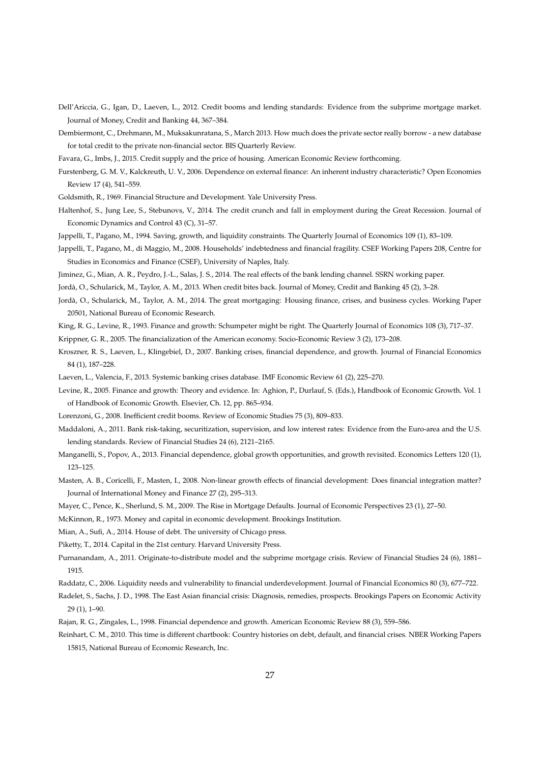- Dell'Ariccia, G., Igan, D., Laeven, L., 2012. Credit booms and lending standards: Evidence from the subprime mortgage market. Journal of Money, Credit and Banking 44, 367–384.
- Dembiermont, C., Drehmann, M., Muksakunratana, S., March 2013. How much does the private sector really borrow a new database for total credit to the private non-financial sector. BIS Quarterly Review.
- Favara, G., Imbs, J., 2015. Credit supply and the price of housing. American Economic Review forthcoming.
- Furstenberg, G. M. V., Kalckreuth, U. V., 2006. Dependence on external finance: An inherent industry characteristic? Open Economies Review 17 (4), 541–559.
- Goldsmith, R., 1969. Financial Structure and Development. Yale University Press.
- Haltenhof, S., Jung Lee, S., Stebunovs, V., 2014. The credit crunch and fall in employment during the Great Recession. Journal of Economic Dynamics and Control 43 (C), 31–57.
- Jappelli, T., Pagano, M., 1994. Saving, growth, and liquidity constraints. The Quarterly Journal of Economics 109 (1), 83–109.
- Jappelli, T., Pagano, M., di Maggio, M., 2008. Households' indebtedness and financial fragility. CSEF Working Papers 208, Centre for Studies in Economics and Finance (CSEF), University of Naples, Italy.
- Jiminez, G., Mian, A. R., Peydro, J.-L., Salas, J. S., 2014. The real effects of the bank lending channel. SSRN working paper.
- Jordà, O., Schularick, M., Taylor, A. M., 2013. When credit bites back. Journal of Money, Credit and Banking 45 (2), 3–28.
- Jordà, O., Schularick, M., Taylor, A. M., 2014. The great mortgaging: Housing finance, crises, and business cycles. Working Paper 20501, National Bureau of Economic Research.
- King, R. G., Levine, R., 1993. Finance and growth: Schumpeter might be right. The Quarterly Journal of Economics 108 (3), 717–37.
- Krippner, G. R., 2005. The financialization of the American economy. Socio-Economic Review 3 (2), 173–208.
- Kroszner, R. S., Laeven, L., Klingebiel, D., 2007. Banking crises, financial dependence, and growth. Journal of Financial Economics 84 (1), 187–228.
- Laeven, L., Valencia, F., 2013. Systemic banking crises database. IMF Economic Review 61 (2), 225–270.
- Levine, R., 2005. Finance and growth: Theory and evidence. In: Aghion, P., Durlauf, S. (Eds.), Handbook of Economic Growth. Vol. 1 of Handbook of Economic Growth. Elsevier, Ch. 12, pp. 865–934.
- Lorenzoni, G., 2008. Inefficient credit booms. Review of Economic Studies 75 (3), 809–833.
- Maddaloni, A., 2011. Bank risk-taking, securitization, supervision, and low interest rates: Evidence from the Euro-area and the U.S. lending standards. Review of Financial Studies 24 (6), 2121–2165.
- Manganelli, S., Popov, A., 2013. Financial dependence, global growth opportunities, and growth revisited. Economics Letters 120 (1), 123–125.
- Masten, A. B., Coricelli, F., Masten, I., 2008. Non-linear growth effects of financial development: Does financial integration matter? Journal of International Money and Finance 27 (2), 295–313.
- Mayer, C., Pence, K., Sherlund, S. M., 2009. The Rise in Mortgage Defaults. Journal of Economic Perspectives 23 (1), 27–50.
- McKinnon, R., 1973. Money and capital in economic development. Brookings Institution.
- Mian, A., Sufi, A., 2014. House of debt. The university of Chicago press.

Piketty, T., 2014. Capital in the 21st century. Harvard University Press.

- Purnanandam, A., 2011. Originate-to-distribute model and the subprime mortgage crisis. Review of Financial Studies 24 (6), 1881– 1915.
- Raddatz, C., 2006. Liquidity needs and vulnerability to financial underdevelopment. Journal of Financial Economics 80 (3), 677–722.
- Radelet, S., Sachs, J. D., 1998. The East Asian financial crisis: Diagnosis, remedies, prospects. Brookings Papers on Economic Activity 29 (1), 1–90.
- Rajan, R. G., Zingales, L., 1998. Financial dependence and growth. American Economic Review 88 (3), 559–586.
- Reinhart, C. M., 2010. This time is different chartbook: Country histories on debt, default, and financial crises. NBER Working Papers 15815, National Bureau of Economic Research, Inc.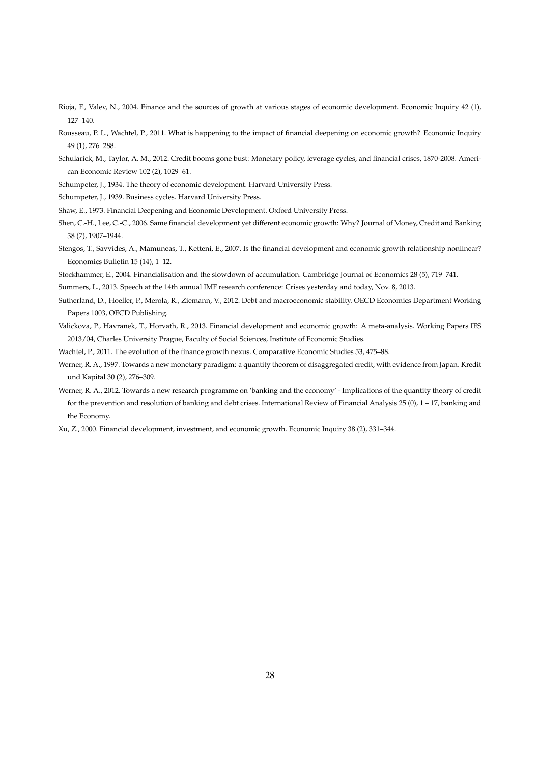- Rioja, F., Valev, N., 2004. Finance and the sources of growth at various stages of economic development. Economic Inquiry 42 (1), 127–140.
- Rousseau, P. L., Wachtel, P., 2011. What is happening to the impact of financial deepening on economic growth? Economic Inquiry 49 (1), 276–288.
- Schularick, M., Taylor, A. M., 2012. Credit booms gone bust: Monetary policy, leverage cycles, and financial crises, 1870-2008. American Economic Review 102 (2), 1029–61.
- Schumpeter, J., 1934. The theory of economic development. Harvard University Press.
- Schumpeter, J., 1939. Business cycles. Harvard University Press.
- Shaw, E., 1973. Financial Deepening and Economic Development. Oxford University Press.
- Shen, C.-H., Lee, C.-C., 2006. Same financial development yet different economic growth: Why? Journal of Money, Credit and Banking 38 (7), 1907–1944.
- Stengos, T., Savvides, A., Mamuneas, T., Ketteni, E., 2007. Is the financial development and economic growth relationship nonlinear? Economics Bulletin 15 (14), 1–12.
- Stockhammer, E., 2004. Financialisation and the slowdown of accumulation. Cambridge Journal of Economics 28 (5), 719–741.
- Summers, L., 2013. Speech at the 14th annual IMF research conference: Crises yesterday and today, Nov. 8, 2013.
- Sutherland, D., Hoeller, P., Merola, R., Ziemann, V., 2012. Debt and macroeconomic stability. OECD Economics Department Working Papers 1003, OECD Publishing.
- Valickova, P., Havranek, T., Horvath, R., 2013. Financial development and economic growth: A meta-analysis. Working Papers IES 2013/04, Charles University Prague, Faculty of Social Sciences, Institute of Economic Studies.
- Wachtel, P., 2011. The evolution of the finance growth nexus. Comparative Economic Studies 53, 475–88.
- Werner, R. A., 1997. Towards a new monetary paradigm: a quantity theorem of disaggregated credit, with evidence from Japan. Kredit und Kapital 30 (2), 276–309.
- Werner, R. A., 2012. Towards a new research programme on 'banking and the economy' Implications of the quantity theory of credit for the prevention and resolution of banking and debt crises. International Review of Financial Analysis 25 (0), 1 – 17, banking and the Economy.
- Xu, Z., 2000. Financial development, investment, and economic growth. Economic Inquiry 38 (2), 331–344.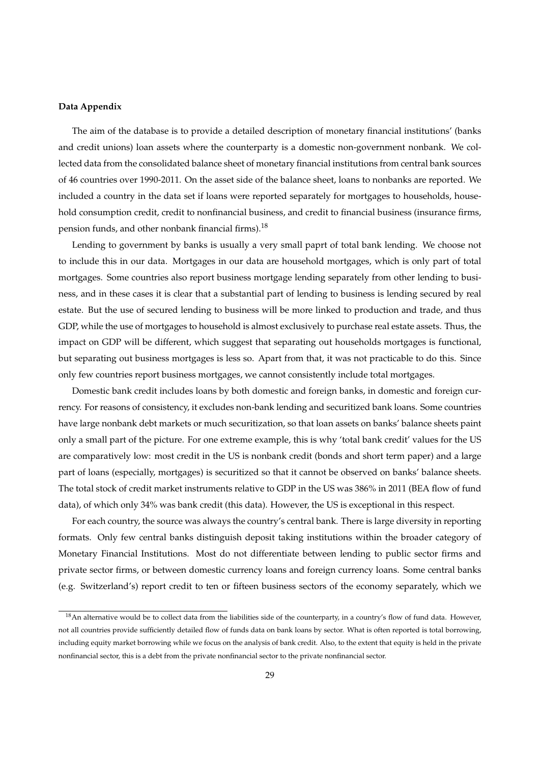## **Data Appendix**

The aim of the database is to provide a detailed description of monetary financial institutions' (banks and credit unions) loan assets where the counterparty is a domestic non-government nonbank. We collected data from the consolidated balance sheet of monetary financial institutions from central bank sources of 46 countries over 1990-2011. On the asset side of the balance sheet, loans to nonbanks are reported. We included a country in the data set if loans were reported separately for mortgages to households, household consumption credit, credit to nonfinancial business, and credit to financial business (insurance firms, pension funds, and other nonbank financial firms).<sup>18</sup>

Lending to government by banks is usually a very small paprt of total bank lending. We choose not to include this in our data. Mortgages in our data are household mortgages, which is only part of total mortgages. Some countries also report business mortgage lending separately from other lending to business, and in these cases it is clear that a substantial part of lending to business is lending secured by real estate. But the use of secured lending to business will be more linked to production and trade, and thus GDP, while the use of mortgages to household is almost exclusively to purchase real estate assets. Thus, the impact on GDP will be different, which suggest that separating out households mortgages is functional, but separating out business mortgages is less so. Apart from that, it was not practicable to do this. Since only few countries report business mortgages, we cannot consistently include total mortgages.

Domestic bank credit includes loans by both domestic and foreign banks, in domestic and foreign currency. For reasons of consistency, it excludes non-bank lending and securitized bank loans. Some countries have large nonbank debt markets or much securitization, so that loan assets on banks' balance sheets paint only a small part of the picture. For one extreme example, this is why 'total bank credit' values for the US are comparatively low: most credit in the US is nonbank credit (bonds and short term paper) and a large part of loans (especially, mortgages) is securitized so that it cannot be observed on banks' balance sheets. The total stock of credit market instruments relative to GDP in the US was 386% in 2011 (BEA flow of fund data), of which only 34% was bank credit (this data). However, the US is exceptional in this respect.

For each country, the source was always the country's central bank. There is large diversity in reporting formats. Only few central banks distinguish deposit taking institutions within the broader category of Monetary Financial Institutions. Most do not differentiate between lending to public sector firms and private sector firms, or between domestic currency loans and foreign currency loans. Some central banks (e.g. Switzerland's) report credit to ten or fifteen business sectors of the economy separately, which we

<sup>&</sup>lt;sup>18</sup>An alternative would be to collect data from the liabilities side of the counterparty, in a country's flow of fund data. However, not all countries provide sufficiently detailed flow of funds data on bank loans by sector. What is often reported is total borrowing, including equity market borrowing while we focus on the analysis of bank credit. Also, to the extent that equity is held in the private nonfinancial sector, this is a debt from the private nonfinancial sector to the private nonfinancial sector.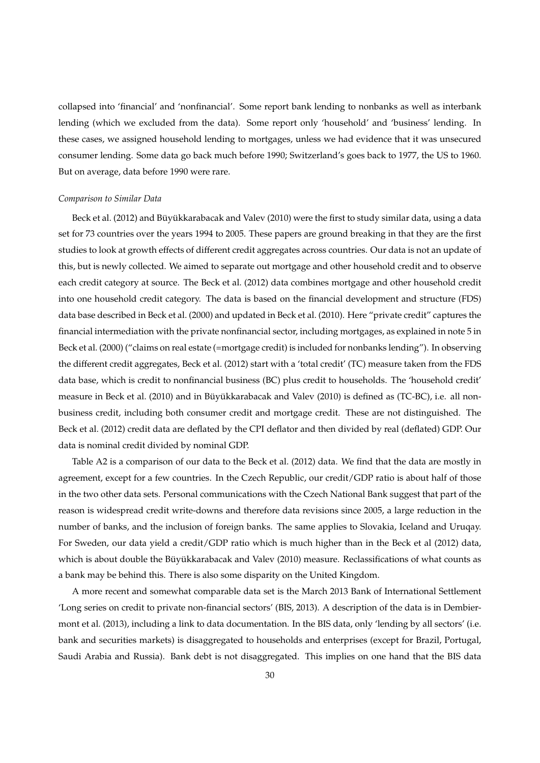collapsed into 'financial' and 'nonfinancial'. Some report bank lending to nonbanks as well as interbank lending (which we excluded from the data). Some report only 'household' and 'business' lending. In these cases, we assigned household lending to mortgages, unless we had evidence that it was unsecured consumer lending. Some data go back much before 1990; Switzerland's goes back to 1977, the US to 1960. But on average, data before 1990 were rare.

#### *Comparison to Similar Data*

Beck et al. (2012) and Büyükkarabacak and Valev (2010) were the first to study similar data, using a data set for 73 countries over the years 1994 to 2005. These papers are ground breaking in that they are the first studies to look at growth effects of different credit aggregates across countries. Our data is not an update of this, but is newly collected. We aimed to separate out mortgage and other household credit and to observe each credit category at source. The Beck et al. (2012) data combines mortgage and other household credit into one household credit category. The data is based on the financial development and structure (FDS) data base described in Beck et al. (2000) and updated in Beck et al. (2010). Here "private credit" captures the financial intermediation with the private nonfinancial sector, including mortgages, as explained in note 5 in Beck et al. (2000) ("claims on real estate (=mortgage credit) is included for nonbanks lending"). In observing the different credit aggregates, Beck et al. (2012) start with a 'total credit' (TC) measure taken from the FDS data base, which is credit to nonfinancial business (BC) plus credit to households. The 'household credit' measure in Beck et al. (2010) and in Büyükkarabacak and Valev (2010) is defined as (TC-BC), i.e. all nonbusiness credit, including both consumer credit and mortgage credit. These are not distinguished. The Beck et al. (2012) credit data are deflated by the CPI deflator and then divided by real (deflated) GDP. Our data is nominal credit divided by nominal GDP.

Table A2 is a comparison of our data to the Beck et al. (2012) data. We find that the data are mostly in agreement, except for a few countries. In the Czech Republic, our credit/GDP ratio is about half of those in the two other data sets. Personal communications with the Czech National Bank suggest that part of the reason is widespread credit write-downs and therefore data revisions since 2005, a large reduction in the number of banks, and the inclusion of foreign banks. The same applies to Slovakia, Iceland and Uruqay. For Sweden, our data yield a credit/GDP ratio which is much higher than in the Beck et al (2012) data, which is about double the Büyükkarabacak and Valev (2010) measure. Reclassifications of what counts as a bank may be behind this. There is also some disparity on the United Kingdom.

A more recent and somewhat comparable data set is the March 2013 Bank of International Settlement 'Long series on credit to private non-financial sectors' (BIS, 2013). A description of the data is in Dembiermont et al. (2013), including a link to data documentation. In the BIS data, only 'lending by all sectors' (i.e. bank and securities markets) is disaggregated to households and enterprises (except for Brazil, Portugal, Saudi Arabia and Russia). Bank debt is not disaggregated. This implies on one hand that the BIS data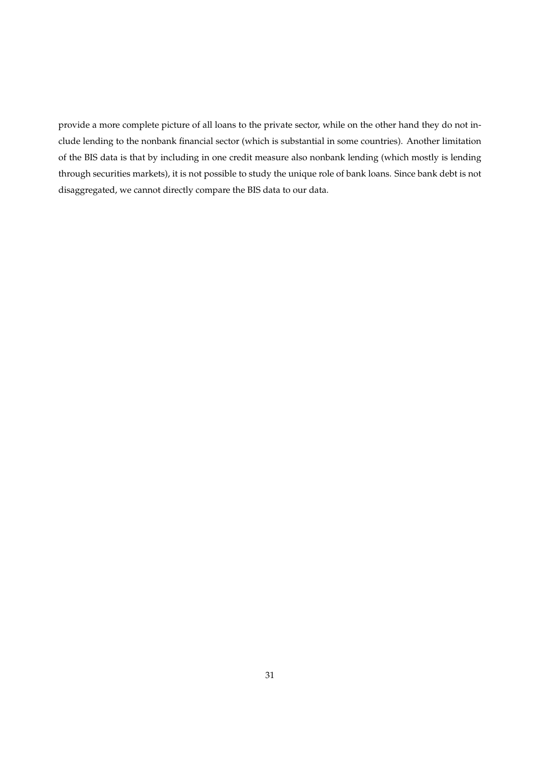provide a more complete picture of all loans to the private sector, while on the other hand they do not include lending to the nonbank financial sector (which is substantial in some countries). Another limitation of the BIS data is that by including in one credit measure also nonbank lending (which mostly is lending through securities markets), it is not possible to study the unique role of bank loans. Since bank debt is not disaggregated, we cannot directly compare the BIS data to our data.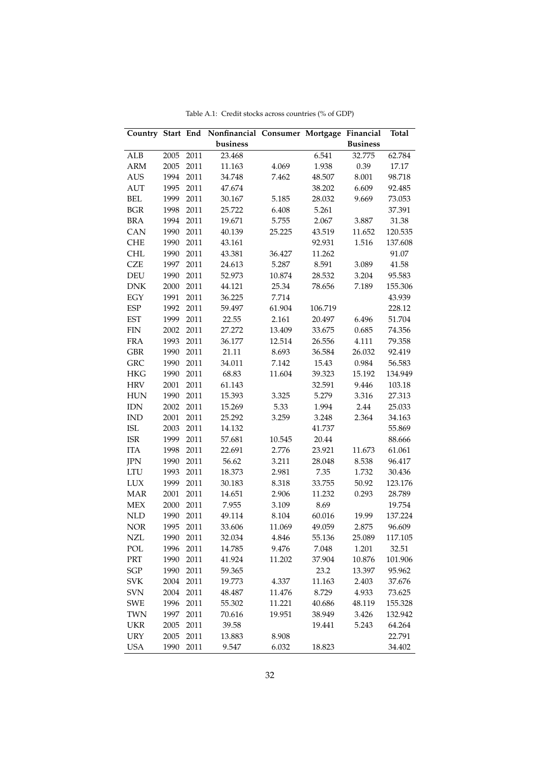|             |      |      | Country Start End Nonfinancial Consumer Mortgage Financial |        |         |                 | <b>Total</b> |
|-------------|------|------|------------------------------------------------------------|--------|---------|-----------------|--------------|
|             |      |      | business                                                   |        |         | <b>Business</b> |              |
| ALB         | 2005 | 2011 | 23.468                                                     |        | 6.541   | 32.775          | 62.784       |
| ARM         | 2005 | 2011 | 11.163                                                     | 4.069  | 1.938   | 0.39            | 17.17        |
| AUS         | 1994 | 2011 | 34.748                                                     | 7.462  | 48.507  | 8.001           | 98.718       |
| AUT         | 1995 | 2011 | 47.674                                                     |        | 38.202  | 6.609           | 92.485       |
| <b>BEL</b>  | 1999 | 2011 | 30.167                                                     | 5.185  | 28.032  | 9.669           | 73.053       |
| <b>BGR</b>  | 1998 | 2011 | 25.722                                                     | 6.408  | 5.261   |                 | 37.391       |
| <b>BRA</b>  | 1994 | 2011 | 19.671                                                     | 5.755  | 2.067   | 3.887           | 31.38        |
| CAN         | 1990 | 2011 | 40.139                                                     | 25.225 | 43.519  | 11.652          | 120.535      |
| CHE         | 1990 | 2011 | 43.161                                                     |        | 92.931  | 1.516           | 137.608      |
| <b>CHL</b>  | 1990 | 2011 | 43.381                                                     | 36.427 | 11.262  |                 | 91.07        |
| <b>CZE</b>  | 1997 | 2011 | 24.613                                                     | 5.287  | 8.591   | 3.089           | 41.58        |
| DEU         | 1990 | 2011 | 52.973                                                     | 10.874 | 28.532  | 3.204           | 95.583       |
| <b>DNK</b>  | 2000 | 2011 | 44.121                                                     | 25.34  | 78.656  | 7.189           | 155.306      |
| EGY         | 1991 | 2011 | 36.225                                                     | 7.714  |         |                 | 43.939       |
| <b>ESP</b>  | 1992 | 2011 | 59.497                                                     | 61.904 | 106.719 |                 | 228.12       |
| <b>EST</b>  | 1999 | 2011 | 22.55                                                      | 2.161  | 20.497  | 6.496           | 51.704       |
| ${\rm FIN}$ | 2002 | 2011 | 27.272                                                     | 13.409 | 33.675  | 0.685           | 74.356       |
| <b>FRA</b>  | 1993 | 2011 | 36.177                                                     | 12.514 | 26.556  | 4.111           | 79.358       |
| <b>GBR</b>  | 1990 | 2011 | 21.11                                                      | 8.693  | 36.584  | 26.032          | 92.419       |
| GRC         | 1990 | 2011 | 34.011                                                     | 7.142  | 15.43   | 0.984           | 56.583       |
| HKG         | 1990 | 2011 | 68.83                                                      | 11.604 | 39.323  | 15.192          | 134.949      |
| HRV         | 2001 | 2011 | 61.143                                                     |        | 32.591  | 9.446           | 103.18       |
| HUN         | 1990 | 2011 | 15.393                                                     | 3.325  | 5.279   | 3.316           | 27.313       |
| <b>IDN</b>  | 2002 | 2011 | 15.269                                                     | 5.33   | 1.994   | 2.44            | 25.033       |
| <b>IND</b>  | 2001 | 2011 | 25.292                                                     | 3.259  | 3.248   | 2.364           | 34.163       |
| <b>ISL</b>  | 2003 | 2011 | 14.132                                                     |        | 41.737  |                 | 55.869       |
| <b>ISR</b>  | 1999 | 2011 | 57.681                                                     | 10.545 | 20.44   |                 | 88.666       |
| <b>ITA</b>  | 1998 | 2011 | 22.691                                                     | 2.776  | 23.921  | 11.673          | 61.061       |
| JPN         | 1990 | 2011 | 56.62                                                      | 3.211  | 28.048  | 8.538           | 96.417       |
| LTU         | 1993 | 2011 | 18.373                                                     | 2.981  | 7.35    | 1.732           | 30.436       |
| LUX         | 1999 | 2011 | 30.183                                                     | 8.318  | 33.755  | 50.92           | 123.176      |
| <b>MAR</b>  | 2001 | 2011 | 14.651                                                     | 2.906  | 11.232  | 0.293           | 28.789       |
| <b>MEX</b>  | 2000 | 2011 | 7.955                                                      | 3.109  | 8.69    |                 | 19.754       |
| <b>NLD</b>  | 1990 | 2011 | 49.114                                                     | 8.104  | 60.016  | 19.99           | 137.224      |
| <b>NOR</b>  | 1995 | 2011 | 33.606                                                     | 11.069 | 49.059  | 2.875           | 96.609       |
| <b>NZL</b>  | 1990 | 2011 | 32.034                                                     | 4.846  | 55.136  | 25.089          | 117.105      |
| POL         | 1996 | 2011 | 14.785                                                     | 9.476  | 7.048   | 1.201           | 32.51        |
| PRT         | 1990 | 2011 | 41.924                                                     | 11.202 | 37.904  | 10.876          | 101.906      |
| SGP         | 1990 | 2011 | 59.365                                                     |        | 23.2    | 13.397          | 95.962       |
| <b>SVK</b>  | 2004 | 2011 | 19.773                                                     | 4.337  | 11.163  | 2.403           | 37.676       |
| <b>SVN</b>  | 2004 | 2011 | 48.487                                                     | 11.476 | 8.729   | 4.933           | 73.625       |
| SWE         | 1996 | 2011 | 55.302                                                     | 11.221 | 40.686  | 48.119          | 155.328      |
| <b>TWN</b>  | 1997 | 2011 | 70.616                                                     | 19.951 | 38.949  | 3.426           | 132.942      |
| UKR         | 2005 | 2011 | 39.58                                                      |        | 19.441  | 5.243           | 64.264       |
| <b>URY</b>  | 2005 | 2011 | 13.883                                                     | 8.908  |         |                 | 22.791       |
| <b>USA</b>  | 1990 | 2011 | 9.547                                                      | 6.032  | 18.823  |                 | 34.402       |

Table A.1: Credit stocks across countries (% of GDP)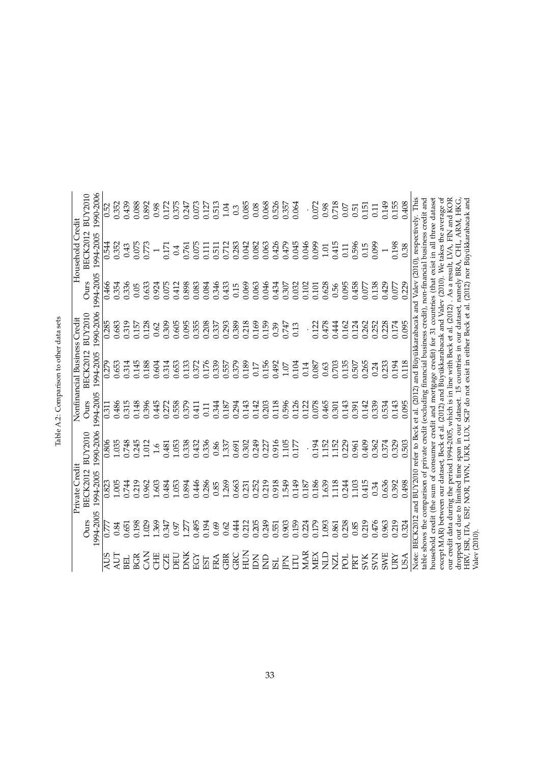|                |           | Private Credit                                                                                                                                                                                                                         |                |           | Nonfinancial Business Credit |                |           | Household Credit                                                     |                |
|----------------|-----------|----------------------------------------------------------------------------------------------------------------------------------------------------------------------------------------------------------------------------------------|----------------|-----------|------------------------------|----------------|-----------|----------------------------------------------------------------------|----------------|
|                | Ours      | <b>BECK2012</b>                                                                                                                                                                                                                        | <b>BUY2010</b> | Ours      | <b>BECK2012</b>              | <b>BUY2010</b> | Ours      | <b>BECK2012</b>                                                      | <b>BUY2010</b> |
|                | 1994-2005 | 1994-2005                                                                                                                                                                                                                              | 1990-2006      | 1994-2005 | 1994-2005                    | 1990-2006      | 1994-2005 | 1994-2005                                                            | 1990-2006      |
| AUS            | 0.777     | 0.823                                                                                                                                                                                                                                  | 0.806          | 0.311     | 0.279                        | 0.285          | 0.466     | 0.544                                                                | 0.52           |
| AUT            | 0.84      | 1.005                                                                                                                                                                                                                                  | 1.035          | 0.486     | 0.653                        | 0.683          | 0.354     | 0.352                                                                | 0.352          |
| <b>BEL</b>     | 0.651     | 0.744                                                                                                                                                                                                                                  | 0.748          | 0.315     | 0.314                        | 0.319          | 0.336     | 0.43                                                                 | 0.439          |
| BGR            | 0.198     | 0.219                                                                                                                                                                                                                                  | 0.245          | 0.148     | 0.145                        | 0.157          | 0.05      | 0.075                                                                | 0.088          |
| <b>NVC</b>     | 1.029     | 0.962                                                                                                                                                                                                                                  | 1.012          | 0.396     | 0.188                        | 0.128          | 0.633     | 0.773                                                                | 0.892          |
| 出门             | 1.369     | 1.603                                                                                                                                                                                                                                  | $\ddot{0}$     | 0.445     | 0.604                        | 0.62           | 0.924     |                                                                      | 0.98           |
| <b>EZE</b>     | 1.347     | 0.484                                                                                                                                                                                                                                  | 0.481          | 0.272     | 0.314                        | 0.309          | 0.075     | 0.171                                                                | 0.172          |
| UHC            | 0.97      | 053                                                                                                                                                                                                                                    | L.053          | 0.558     | 0.653                        | 0.605          | 0.412     | 0.4                                                                  | 0.375          |
| DNK            | 1.277     | 0.894                                                                                                                                                                                                                                  | 0.338          | 0.379     | 0.133                        | 0.095          | 0.898     | 0.761                                                                | 0.247          |
| EGY            | 0.495     | 0.446                                                                                                                                                                                                                                  | 0.432          | 0.411     | 0.372                        | 0.355          | 0.083     | 0.075                                                                | 0.073          |
| EST            | 0.194     | 0.286                                                                                                                                                                                                                                  | 0.336          | 0.11      | 0.176                        | 0.208          | 0.084     | 0.111                                                                | 0.127          |
| <b>FRA</b>     | 0.69      | 0.85                                                                                                                                                                                                                                   | 0.86           | 0.344     | 0.339                        | 0.337          | 0.346     | 0.511                                                                | 0.513          |
| GBR            | 0.62      | 1.269                                                                                                                                                                                                                                  | 1.337          | 0.187     | 0.557                        | 0.293          | 0.433     | 0.712                                                                | 1.04           |
| <b>GRC</b>     | 0.444     | 0.663                                                                                                                                                                                                                                  | 0.691          | 0.294     | 0.379                        | 0.389          | 0.15      | 0.283                                                                | 0.3            |
| NHZ<br>HUN     | 0.212     | 0.231                                                                                                                                                                                                                                  | 0.302          | 0.143     | 0.189                        | 0.218          | 0.069     | 0.042                                                                | 0.085          |
| Ă              | 0.205     | 0.252                                                                                                                                                                                                                                  | 0.249          | 0.142     | 0.17                         | 0.169          | 0.063     | 0.082                                                                | 0.08           |
| $\Xi$          | 0.249     | 0.219                                                                                                                                                                                                                                  | 0.227          | 0.203     | 0.156                        | 0.159          | 0.046     | 0.063                                                                | 0.068          |
| 18             | 0.551     | 0.918                                                                                                                                                                                                                                  | 0.916          | 0.118     | 0.492                        | 0.39           | 0.434     | 0.426                                                                | 0.526          |
| KL             | 0.903     | 1.549                                                                                                                                                                                                                                  | 1.105          | 0.596     | $1.07\,$                     | 0.747          | 0.307     | 0.479                                                                | 0.357          |
| $\overline{H}$ | 0.159     | 0.149                                                                                                                                                                                                                                  | 0.177          | 0.126     | 0.104                        | 0.13           | 0.032     | 0.045                                                                | 0.064          |
| MAR            | 0.224     | 0.187                                                                                                                                                                                                                                  |                | 0.122     | 0.14                         |                | 0.102     | 0.046                                                                |                |
| MEX            | 0.179     | 0.186                                                                                                                                                                                                                                  | 1194           | 0.078     | 0.087                        | 0.122          | 0.101     | 0.099                                                                | 0.072          |
| <b>QIN</b>     | 1.093     | 1.639                                                                                                                                                                                                                                  | 1.52           | 0.465     | 0.63                         | 0.478          | 0.628     | $1.01\,$                                                             | 0.98           |
| <b>NZL</b>     | 0.861     | 118                                                                                                                                                                                                                                    | 1.152          | 0.301     | 0.703                        | 0.444          | 0.56      | 0.415                                                                | 0.718          |
| pol            | 0.238     | 0.244                                                                                                                                                                                                                                  | 0.229          | 0.143     | 0.135                        | 0.162          | 0.095     | 0.11                                                                 | 0.07           |
| PRT            | 0.85      | 1.103                                                                                                                                                                                                                                  | 0.961          | 0.391     | 0.507                        | 0.124          | 0.458     | 0.596                                                                | 0.51           |
| <b>SVK</b>     | 0.219     | 0.415                                                                                                                                                                                                                                  | 0.409          | 0.142     | 0.265                        | 0.262          | 0.077     | 0.15                                                                 | 0.151          |
| <b>NNS</b>     | 0.476     | 0.34                                                                                                                                                                                                                                   | 0.362          | 0.339     | 0.24                         | 0.252          | 0.138     | 0.099                                                                | 0.11           |
| <b>SWE</b>     | 0.963     | 0.636                                                                                                                                                                                                                                  | 0.374          | 0.534     | 0.233                        | 0.228          | 0.429     |                                                                      | 0.149          |
| <b>NXI</b>     | 0.219     | 0.392                                                                                                                                                                                                                                  | 0.329          | 0.143     | 0.194                        | 0.174          | 0.077     | 0.198                                                                | 0.155          |
| USA            | 0.324     | 0.498                                                                                                                                                                                                                                  | 0.503          | 0.095     | 0.118                        | 0.095          | 0.229     | 0.38                                                                 | 0.408          |
|                |           | Note: BECK2012 and BUY2010 refer to Beck et al. (2012) and Büyükkarabacak and Valev (2010), respectively. This                                                                                                                         |                |           |                              |                |           |                                                                      |                |
|                |           | table shows the comparison of private credit (excluding financial business credit), non-financial business credit and                                                                                                                  |                |           |                              |                |           |                                                                      |                |
|                |           | except MAR) between our dataset, Beck et al. (2012) and Büyükkarabacak and Valev (2010). We takes the average of<br>household credit (the sum of consumer credit and mortgage credit) for 31 countries (that exist in all three datase |                |           |                              |                |           |                                                                      |                |
|                |           | our credit data during the period 1994-2005, which is in line with Beck et al. (2012) . As a result, LVA, FIN and KOR                                                                                                                  |                |           |                              |                |           |                                                                      |                |
|                |           | dropped out due to limited time span in our dataset. 15 countries in our dataset, namely BRA, CHL, ARM, HKG,                                                                                                                           |                |           |                              |                |           |                                                                      |                |
| Valev (2010)   |           | HRV, ISR, ITA, ESP, NOR, TWN,                                                                                                                                                                                                          | UKR, LUX,      |           |                              |                |           | SGP do not exist in either Beck et al. (2012) nor Büyükkarabacak and |                |

| l<br>֡֡֡֡֡֡֡֡֡<br>ı       |
|---------------------------|
| l<br>ī                    |
| ç                         |
| <br> <br> <br> <br>ı<br>ı |
|                           |
| ī                         |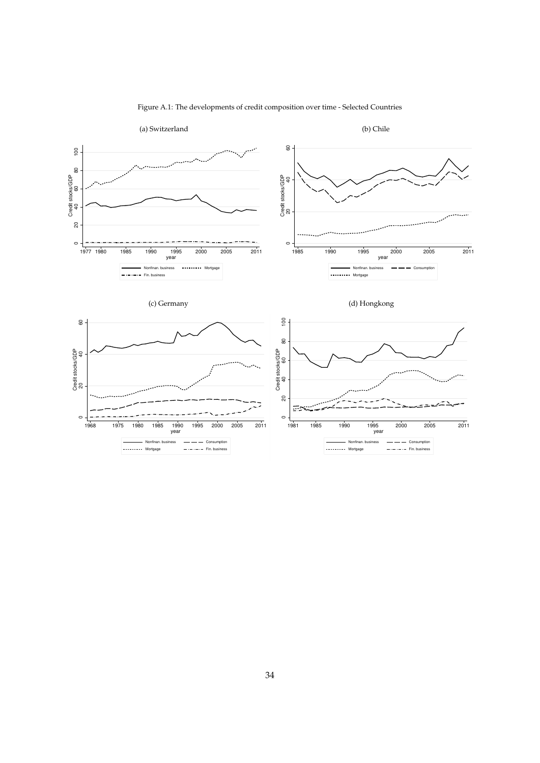

Figure A.1: The developments of credit composition over time - Selected Countries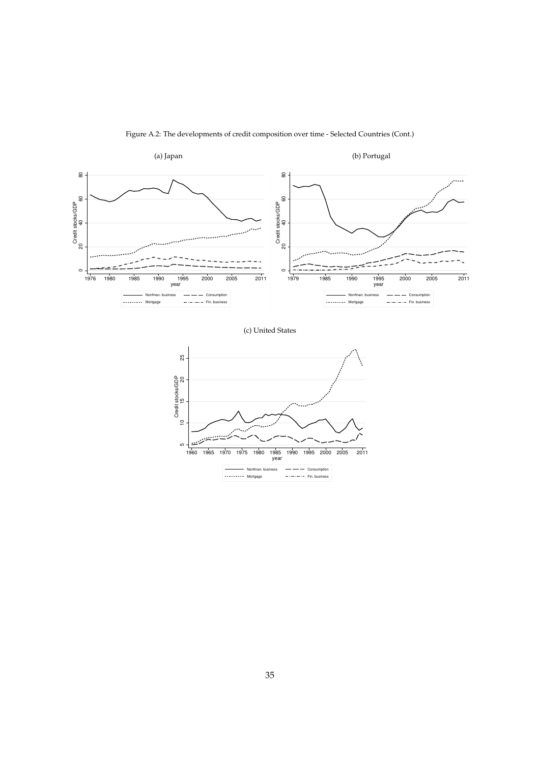

Figure A.2: The developments of credit composition over time - Selected Countries (Cont.)



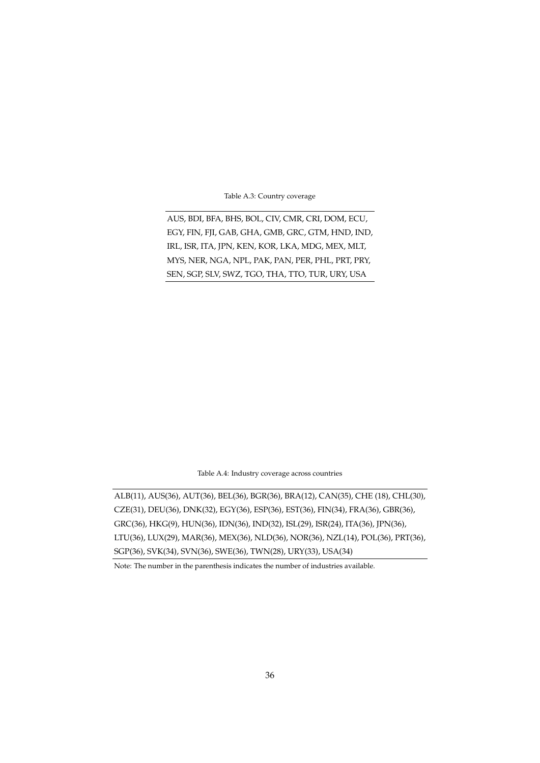Table A.3: Country coverage

AUS, BDI, BFA, BHS, BOL, CIV, CMR, CRI, DOM, ECU, EGY, FIN, FJI, GAB, GHA, GMB, GRC, GTM, HND, IND, IRL, ISR, ITA, JPN, KEN, KOR, LKA, MDG, MEX, MLT, MYS, NER, NGA, NPL, PAK, PAN, PER, PHL, PRT, PRY, SEN, SGP, SLV, SWZ, TGO, THA, TTO, TUR, URY, USA

Table A.4: Industry coverage across countries

ALB(11), AUS(36), AUT(36), BEL(36), BGR(36), BRA(12), CAN(35), CHE (18), CHL(30), CZE(31), DEU(36), DNK(32), EGY(36), ESP(36), EST(36), FIN(34), FRA(36), GBR(36), GRC(36), HKG(9), HUN(36), IDN(36), IND(32), ISL(29), ISR(24), ITA(36), JPN(36), LTU(36), LUX(29), MAR(36), MEX(36), NLD(36), NOR(36), NZL(14), POL(36), PRT(36), SGP(36), SVK(34), SVN(36), SWE(36), TWN(28), URY(33), USA(34)

Note: The number in the parenthesis indicates the number of industries available.